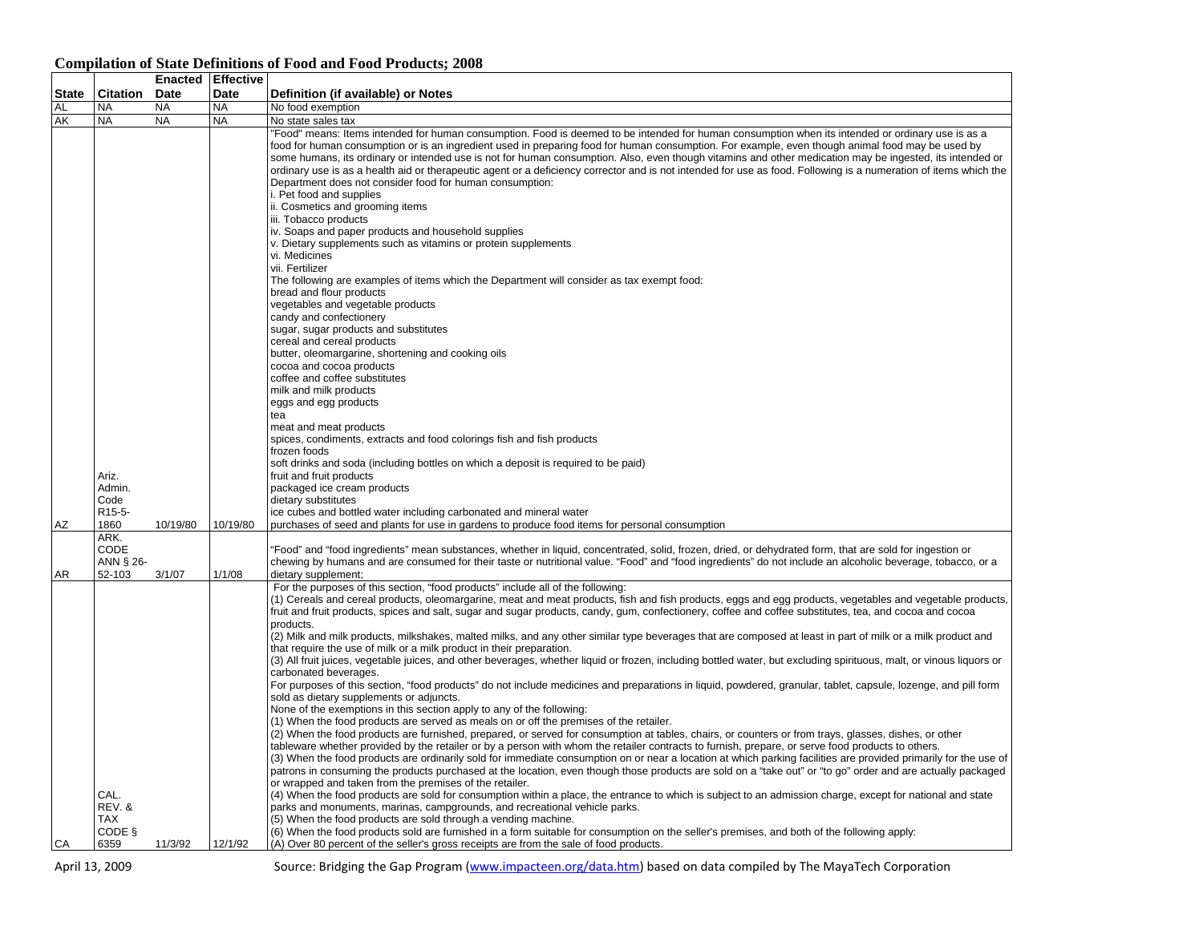## **State Citation Enacted Effective Date Date Definition (if available) or Notes**<br>
Note **Note Allo** exemption AL NA NA NA NO food exemption AK INA NA INA No state sales tax AZ Ariz. Admin. Code R15-5-1860 10/19/80 10/19/80 "Food" means: Items intended for human consumption. Food is deemed to be intended for human consumption when its intended or ordinary use is as a food for human consumption or is an ingredient used in preparing food for human consumption. For example, even though animal food may be used by some humans, its ordinary or intended use is not for human consumption. Also, even though vitamins and other medication may be ingested, its intended or ordinary use is as a health aid or therapeutic agent or a deficiency corrector and is not intended for use as food. Following is a numeration of items which the Department does not consider food for human consumption: i. Pet food and supplies ii. Cosmetics and grooming items iii. Tobacco products iv. Soaps and paper products and household supplies v. Dietary supplements such as vitamins or protein supplements vi. Medicines vii. Fertilizer The following are examples of items which the Department will consider as tax exempt food: bread and flour products vegetables and vegetable products candy and confectionery sugar, sugar products and substitutes cereal and cereal products butter, oleomargarine, shortening and cooking oils cocoa and cocoa products coffee and coffee substitutes milk and milk products eggs and egg products tea meat and meat products spices, condiments, extracts and food colorings fish and fish products frozen foods soft drinks and soda (including bottles on which a deposit is required to be paid) fruit and fruit products packaged ice cream products dietary substitutes ice cubes and bottled water including carbonated and mineral water purchases of seed and plants for use in gardens to produce food items for personal consumption AR ARK. CODE ANN § 26- 52-103 3/1/07 1/1/08 "Food" and "food ingredients" mean substances, whether in liquid, concentrated, solid, frozen, dried, or dehydrated form, that are sold for ingestion or chewing by humans and are consumed for their taste or nutritional value. "Food" and "food ingredients" do not include an alcoholic beverage, tobacco, or a dietary supplement; For the purposes of this section, "food products" include all of the following: (1) Cereals and cereal products, oleomargarine, meat and meat products, fish and fish products, eggs and egg products, vegetables and vegetable products, fruit and fruit products, spices and salt, sugar and sugar products, candy, gum, confectionery, coffee and coffee substitutes, tea, and cocoa and cocoa products. (2) Milk and milk products, milkshakes, malted milks, and any other similar type beverages that are composed at least in part of milk or a milk product and that require the use of milk or a milk product in their preparation. (3) All fruit juices, vegetable juices, and other beverages, whether liquid or frozen, including bottled water, but excluding spirituous, malt, or vinous liquors or carbonated beverages. For purposes of this section, "food products" do not include medicines and preparations in liquid, powdered, granular, tablet, capsule, lozenge, and pill form sold as dietary supplements or adjuncts. None of the exemptions in this section apply to any of the following: (1) When the food products are served as meals on or off the premises of the retailer. (2) When the food products are furnished, prepared, or served for consumption at tables, chairs, or counters or from trays, glasses, dishes, or other tableware whether provided by the retailer or by a person with whom the retailer contracts to furnish, prepare, or serve food products to others.

or wrapped and taken from the premises of the retailer.

(5) When the food products are sold through a vending machine.

parks and monuments, marinas, campgrounds, and recreational vehicle parks.

(A) Over 80 percent of the seller's gross receipts are from the sale of food products.

## **Compilation of State Definitions of Food and Food Products; 2008**

CAL. REV. & TAX CODE §

6359 11/3/92 12/1/92

CA

April 13, 2009 Source: Bridging the Gap Program (www.impacteen.org/data.htm) based on data compiled by The MayaTech Corporation

(6) When the food products sold are furnished in a form suitable for consumption on the seller's premises, and both of the following apply:

(3) When the food products are ordinarily sold for immediate consumption on or near a location at which parking facilities are provided primarily for the use of patrons in consuming the products purchased at the location, even though those products are sold on a "take out" or "to go" order and are actually packaged

(4) When the food products are sold for consumption within a place, the entrance to which is subject to an admission charge, except for national and state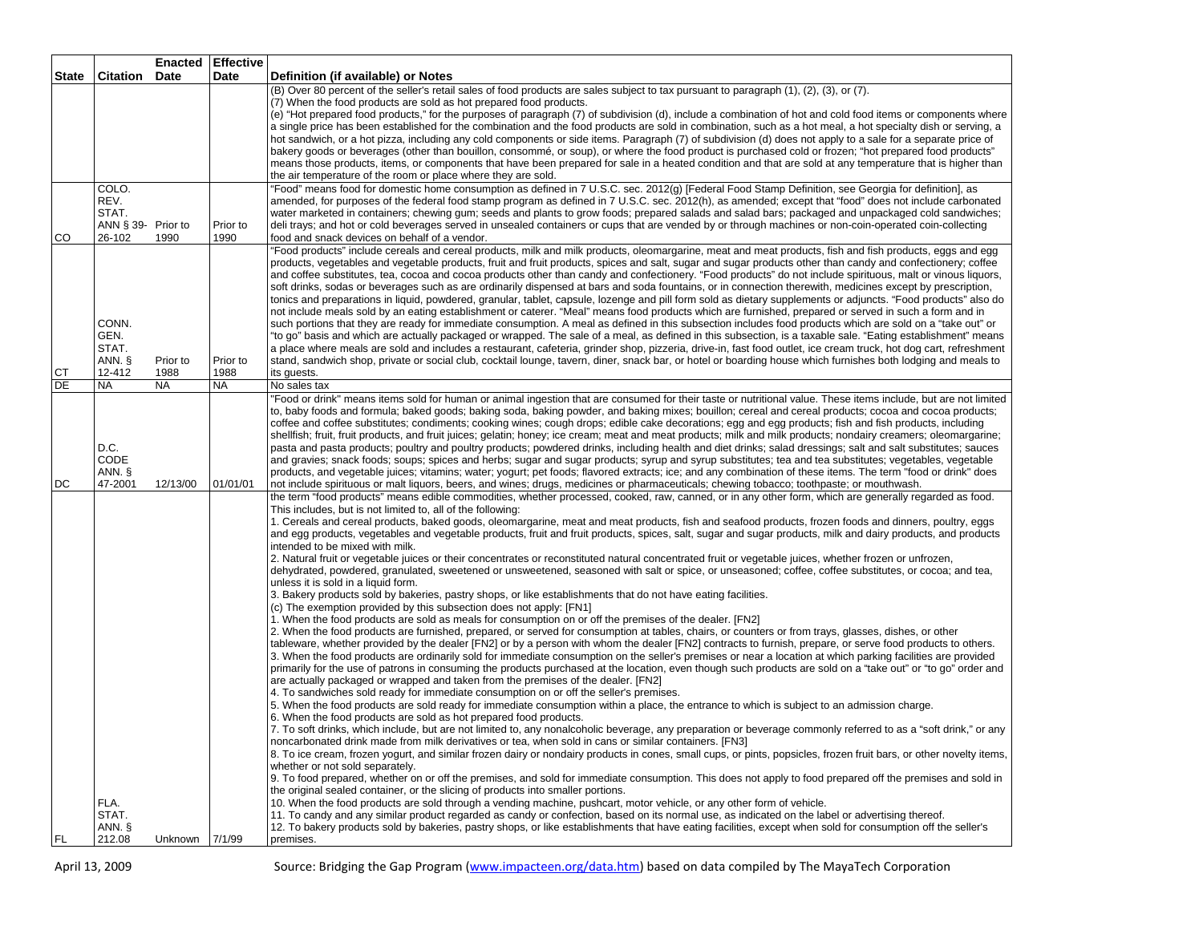|              |                    | <b>Enacted</b> | <b>Effective</b> |                                                                                                                                                                                                                                                                                                                                    |
|--------------|--------------------|----------------|------------------|------------------------------------------------------------------------------------------------------------------------------------------------------------------------------------------------------------------------------------------------------------------------------------------------------------------------------------|
| <b>State</b> | Citation           | Date           | Date             | Definition (if available) or Notes                                                                                                                                                                                                                                                                                                 |
|              |                    |                |                  | (B) Over 80 percent of the seller's retail sales of food products are sales subject to tax pursuant to paragraph (1), (2), (3), or (7).<br>(7) When the food products are sold as hot prepared food products.                                                                                                                      |
|              |                    |                |                  | (e) "Hot prepared food products," for the purposes of paragraph (7) of subdivision (d), include a combination of hot and cold food items or components where                                                                                                                                                                       |
|              |                    |                |                  | a single price has been established for the combination and the food products are sold in combination, such as a hot meal, a hot specialty dish or serving, a                                                                                                                                                                      |
|              |                    |                |                  | hot sandwich, or a hot pizza, including any cold components or side items. Paragraph (7) of subdivision (d) does not apply to a sale for a separate price of                                                                                                                                                                       |
|              |                    |                |                  | bakery goods or beverages (other than bouillon, consommé, or soup), or where the food product is purchased cold or frozen; "hot prepared food products"                                                                                                                                                                            |
|              |                    |                |                  | means those products, items, or components that have been prepared for sale in a heated condition and that are sold at any temperature that is higher than                                                                                                                                                                         |
|              | COLO.              |                |                  | the air temperature of the room or place where they are sold.<br>"Food" means food for domestic home consumption as defined in 7 U.S.C. sec. 2012(g) [Federal Food Stamp Definition, see Georgia for definition], as                                                                                                               |
|              | REV.               |                |                  | amended, for purposes of the federal food stamp program as defined in 7 U.S.C. sec. 2012(h), as amended; except that "food" does not include carbonated                                                                                                                                                                            |
|              | STAT.              |                |                  | water marketed in containers; chewing gum; seeds and plants to grow foods; prepared salads and salad bars; packaged and unpackaged cold sandwiches;                                                                                                                                                                                |
|              | ANN § 39- Prior to |                | Prior to         | deli trays; and hot or cold beverages served in unsealed containers or cups that are vended by or through machines or non-coin-operated coin-collecting                                                                                                                                                                            |
| CO           | 26-102             | 1990           | 1990             | food and snack devices on behalf of a vendor.                                                                                                                                                                                                                                                                                      |
|              |                    |                |                  | "Food products" include cereals and cereal products, milk and milk products, oleomargarine, meat and meat products, fish and fish products, eggs and egg                                                                                                                                                                           |
|              |                    |                |                  | products, vegetables and vegetable products, fruit and fruit products, spices and salt, sugar and sugar products other than candy and confectionery; coffee                                                                                                                                                                        |
|              |                    |                |                  | and coffee substitutes, tea, cocoa and cocoa products other than candy and confectionery. "Food products" do not include spirituous, malt or vinous liquors,<br>soft drinks, sodas or beverages such as are ordinarily dispensed at bars and soda fountains, or in connection therewith, medicines except by prescription,         |
|              |                    |                |                  | tonics and preparations in liquid, powdered, granular, tablet, capsule, lozenge and pill form sold as dietary supplements or adjuncts. "Food products" also do                                                                                                                                                                     |
|              |                    |                |                  | not include meals sold by an eating establishment or caterer. "Meal" means food products which are furnished, prepared or served in such a form and in                                                                                                                                                                             |
|              | CONN.              |                |                  | such portions that they are ready for immediate consumption. A meal as defined in this subsection includes food products which are sold on a "take out" or                                                                                                                                                                         |
|              | GEN.               |                |                  | "to go" basis and which are actually packaged or wrapped. The sale of a meal, as defined in this subsection, is a taxable sale. "Eating establishment" means                                                                                                                                                                       |
|              | STAT.<br>ANN. §    | Prior to       | Prior to         | a place where meals are sold and includes a restaurant, cafeteria, grinder shop, pizzeria, drive-in, fast food outlet, ice cream truck, hot dog cart, refreshment<br>stand, sandwich shop, private or social club, cocktail lounge, tavern, diner, snack bar, or hotel or boarding house which furnishes both lodging and meals to |
| <b>CT</b>    | 12-412             | 1988           | 1988             | its guests.                                                                                                                                                                                                                                                                                                                        |
| DE           | <b>NA</b>          | <b>NA</b>      | <b>NA</b>        | No sales tax                                                                                                                                                                                                                                                                                                                       |
|              |                    |                |                  | "Food or drink" means items sold for human or animal ingestion that are consumed for their taste or nutritional value. These items include, but are not limited                                                                                                                                                                    |
|              |                    |                |                  | to, baby foods and formula; baked goods; baking soda, baking powder, and baking mixes; bouillon; cereal and cereal products; cocoa and cocoa products;                                                                                                                                                                             |
|              |                    |                |                  | coffee and coffee substitutes; condiments; cooking wines; cough drops; edible cake decorations; egg and egg products; fish and fish products, including                                                                                                                                                                            |
|              | D.C.               |                |                  | shellfish; fruit, fruit products, and fruit juices; gelatin; honey; ice cream; meat and meat products; milk and milk products; nondairy creamers; oleomargarine;<br>pasta and pasta products; poultry and poultry products; powdered drinks, including health and diet drinks; salad dressings; salt and salt substitutes; sauces  |
|              | CODE               |                |                  | and gravies; snack foods; soups; spices and herbs; sugar and sugar products; syrup and syrup substitutes; tea and tea substitutes; vegetables, vegetable                                                                                                                                                                           |
|              | ANN. §             |                |                  | products, and vegetable juices; vitamins; water; yogurt; pet foods; flavored extracts; ice; and any combination of these items. The term "food or drink" does                                                                                                                                                                      |
| DC           | 47-2001            | 12/13/00       | 01/01/01         | not include spirituous or malt liquors, beers, and wines; drugs, medicines or pharmaceuticals; chewing tobacco; toothpaste; or mouthwash.                                                                                                                                                                                          |
|              |                    |                |                  | the term "food products" means edible commodities, whether processed, cooked, raw, canned, or in any other form, which are generally regarded as food.<br>This includes, but is not limited to, all of the following:                                                                                                              |
|              |                    |                |                  | 1. Cereals and cereal products, baked goods, oleomargarine, meat and meat products, fish and seafood products, frozen foods and dinners, poultry, eggs                                                                                                                                                                             |
|              |                    |                |                  | and egg products, vegetables and vegetable products, fruit and fruit products, spices, salt, sugar and sugar products, milk and dairy products, and products                                                                                                                                                                       |
|              |                    |                |                  | intended to be mixed with milk.                                                                                                                                                                                                                                                                                                    |
|              |                    |                |                  | 2. Natural fruit or vegetable juices or their concentrates or reconstituted natural concentrated fruit or vegetable juices, whether frozen or unfrozen,                                                                                                                                                                            |
|              |                    |                |                  | dehydrated, powdered, granulated, sweetened or unsweetened, seasoned with salt or spice, or unseasoned; coffee, coffee substitutes, or cocoa; and tea,<br>unless it is sold in a liquid form.                                                                                                                                      |
|              |                    |                |                  | 3. Bakery products sold by bakeries, pastry shops, or like establishments that do not have eating facilities.                                                                                                                                                                                                                      |
|              |                    |                |                  | (c) The exemption provided by this subsection does not apply: [FN1]                                                                                                                                                                                                                                                                |
|              |                    |                |                  | 1. When the food products are sold as meals for consumption on or off the premises of the dealer. [FN2]                                                                                                                                                                                                                            |
|              |                    |                |                  | 2. When the food products are furnished, prepared, or served for consumption at tables, chairs, or counters or from trays, glasses, dishes, or other                                                                                                                                                                               |
|              |                    |                |                  | tableware, whether provided by the dealer [FN2] or by a person with whom the dealer [FN2] contracts to furnish, prepare, or serve food products to others.<br>3. When the food products are ordinarily sold for immediate consumption on the seller's premises or near a location at which parking facilities are provided         |
|              |                    |                |                  | primarily for the use of patrons in consuming the products purchased at the location, even though such products are sold on a "take out" or "to go" order and                                                                                                                                                                      |
|              |                    |                |                  | are actually packaged or wrapped and taken from the premises of the dealer. [FN2]                                                                                                                                                                                                                                                  |
|              |                    |                |                  | 4. To sandwiches sold ready for immediate consumption on or off the seller's premises.                                                                                                                                                                                                                                             |
|              |                    |                |                  | 5. When the food products are sold ready for immediate consumption within a place, the entrance to which is subject to an admission charge.                                                                                                                                                                                        |
|              |                    |                |                  | 6. When the food products are sold as hot prepared food products.<br>7. To soft drinks, which include, but are not limited to, any nonalcoholic beverage, any preparation or beverage commonly referred to as a "soft drink," or any                                                                                               |
|              |                    |                |                  | noncarbonated drink made from milk derivatives or tea, when sold in cans or similar containers. [FN3]                                                                                                                                                                                                                              |
|              |                    |                |                  | 8. To ice cream, frozen yogurt, and similar frozen dairy or nondairy products in cones, small cups, or pints, popsicles, frozen fruit bars, or other novelty items,                                                                                                                                                                |
|              |                    |                |                  | whether or not sold separately.                                                                                                                                                                                                                                                                                                    |
|              |                    |                |                  | 9. To food prepared, whether on or off the premises, and sold for immediate consumption. This does not apply to food prepared off the premises and sold in                                                                                                                                                                         |
|              | FLA.               |                |                  | the original sealed container, or the slicing of products into smaller portions.                                                                                                                                                                                                                                                   |
|              | STAT.              |                |                  | 10. When the food products are sold through a vending machine, pushcart, motor vehicle, or any other form of vehicle.<br>11. To candy and any similar product regarded as candy or confection, based on its normal use, as indicated on the label or advertising thereof.                                                          |
|              | ANN. §             |                |                  | 12. To bakery products sold by bakeries, pastry shops, or like establishments that have eating facilities, except when sold for consumption off the seller's                                                                                                                                                                       |
| <b>FL</b>    | 212.08             | Unknown 7/1/99 |                  | premises.                                                                                                                                                                                                                                                                                                                          |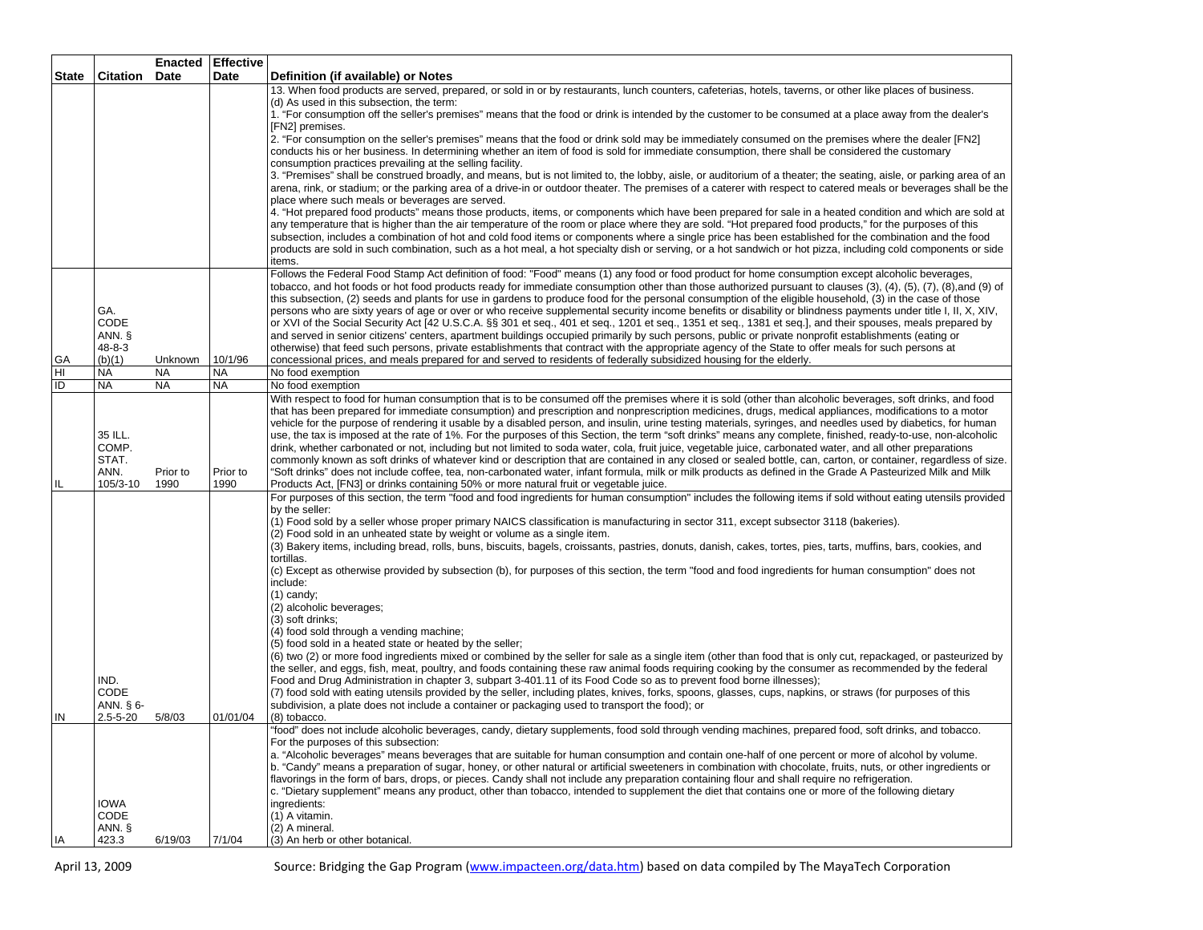|       |                      |           | <b>Enacted Effective</b> |                                                                                                                                                                                                                                                                                                                              |
|-------|----------------------|-----------|--------------------------|------------------------------------------------------------------------------------------------------------------------------------------------------------------------------------------------------------------------------------------------------------------------------------------------------------------------------|
| State | <b>Citation Date</b> |           | Date                     | Definition (if available) or Notes                                                                                                                                                                                                                                                                                           |
|       |                      |           |                          | 13. When food products are served, prepared, or sold in or by restaurants, lunch counters, cafeterias, hotels, taverns, or other like places of business.                                                                                                                                                                    |
|       |                      |           |                          | (d) As used in this subsection, the term:                                                                                                                                                                                                                                                                                    |
|       |                      |           |                          | 1. "For consumption off the seller's premises" means that the food or drink is intended by the customer to be consumed at a place away from the dealer's                                                                                                                                                                     |
|       |                      |           |                          | [FN2] premises.                                                                                                                                                                                                                                                                                                              |
|       |                      |           |                          | 2. "For consumption on the seller's premises" means that the food or drink sold may be immediately consumed on the premises where the dealer [FN2]<br>conducts his or her business. In determining whether an item of food is sold for immediate consumption, there shall be considered the customary                        |
|       |                      |           |                          | consumption practices prevailing at the selling facility.                                                                                                                                                                                                                                                                    |
|       |                      |           |                          | 3. "Premises" shall be construed broadly, and means, but is not limited to, the lobby, aisle, or auditorium of a theater; the seating, aisle, or parking area of an                                                                                                                                                          |
|       |                      |           |                          | arena, rink, or stadium; or the parking area of a drive-in or outdoor theater. The premises of a caterer with respect to catered meals or beverages shall be the                                                                                                                                                             |
|       |                      |           |                          | place where such meals or beverages are served.                                                                                                                                                                                                                                                                              |
|       |                      |           |                          | 4. "Hot prepared food products" means those products, items, or components which have been prepared for sale in a heated condition and which are sold at                                                                                                                                                                     |
|       |                      |           |                          | any temperature that is higher than the air temperature of the room or place where they are sold. "Hot prepared food products," for the purposes of this                                                                                                                                                                     |
|       |                      |           |                          | subsection, includes a combination of hot and cold food items or components where a single price has been established for the combination and the food                                                                                                                                                                       |
|       |                      |           |                          | products are sold in such combination, such as a hot meal, a hot specialty dish or serving, or a hot sandwich or hot pizza, including cold components or side                                                                                                                                                                |
|       |                      |           |                          | items.                                                                                                                                                                                                                                                                                                                       |
|       |                      |           |                          | Follows the Federal Food Stamp Act definition of food: "Food" means (1) any food or food product for home consumption except alcoholic beverages,<br>tobacco, and hot foods or hot food products ready for immediate consumption other than those authorized pursuant to clauses (3), (4), (5), (7), (8), and (9) of         |
|       |                      |           |                          | this subsection, (2) seeds and plants for use in gardens to produce food for the personal consumption of the eligible household, (3) in the case of those                                                                                                                                                                    |
|       | GA.                  |           |                          | persons who are sixty years of age or over or who receive supplemental security income benefits or disability or blindness payments under title I, II, X, XIV,                                                                                                                                                               |
|       | CODE                 |           |                          | or XVI of the Social Security Act [42 U.S.C.A. §§ 301 et seq., 401 et seq., 1201 et seq., 1351 et seq., 1381 et seq.], and their spouses, meals prepared by                                                                                                                                                                  |
|       | ANN. §               |           |                          | and served in senior citizens' centers, apartment buildings occupied primarily by such persons, public or private nonprofit establishments (eating or                                                                                                                                                                        |
|       | $48 - 8 - 3$         |           |                          | otherwise) that feed such persons, private establishments that contract with the appropriate agency of the State to offer meals for such persons at                                                                                                                                                                          |
| GA    | (b)(1)               | Unknown   | 10/1/96                  | concessional prices, and meals prepared for and served to residents of federally subsidized housing for the elderly.                                                                                                                                                                                                         |
| HI    | <b>NA</b>            | <b>NA</b> | <b>NA</b>                | No food exemption                                                                                                                                                                                                                                                                                                            |
| ID    | <b>NA</b>            | <b>NA</b> | <b>NA</b>                | No food exemption                                                                                                                                                                                                                                                                                                            |
|       |                      |           |                          | With respect to food for human consumption that is to be consumed off the premises where it is sold (other than alcoholic beverages, soft drinks, and food                                                                                                                                                                   |
|       |                      |           |                          | that has been prepared for immediate consumption) and prescription and nonprescription medicines, drugs, medical appliances, modifications to a motor                                                                                                                                                                        |
|       |                      |           |                          | vehicle for the purpose of rendering it usable by a disabled person, and insulin, urine testing materials, syringes, and needles used by diabetics, for human                                                                                                                                                                |
|       | 35 ILL.<br>COMP.     |           |                          | use, the tax is imposed at the rate of 1%. For the purposes of this Section, the term "soft drinks" means any complete, finished, ready-to-use, non-alcoholic<br>drink, whether carbonated or not, including but not limited to soda water, cola, fruit juice, vegetable juice, carbonated water, and all other preparations |
|       | STAT.                |           |                          | commonly known as soft drinks of whatever kind or description that are contained in any closed or sealed bottle, can, carton, or container, regardless of size.                                                                                                                                                              |
|       | ANN.                 | Prior to  | Prior to                 | "Soft drinks" does not include coffee, tea, non-carbonated water, infant formula, milk or milk products as defined in the Grade A Pasteurized Milk and Milk                                                                                                                                                                  |
| IL    | 105/3-10             | 1990      | 1990                     | Products Act, [FN3] or drinks containing 50% or more natural fruit or vegetable juice.                                                                                                                                                                                                                                       |
|       |                      |           |                          | For purposes of this section, the term "food and food ingredients for human consumption" includes the following items if sold without eating utensils provided                                                                                                                                                               |
|       |                      |           |                          | by the seller:                                                                                                                                                                                                                                                                                                               |
|       |                      |           |                          | (1) Food sold by a seller whose proper primary NAICS classification is manufacturing in sector 311, except subsector 3118 (bakeries).                                                                                                                                                                                        |
|       |                      |           |                          | (2) Food sold in an unheated state by weight or volume as a single item.                                                                                                                                                                                                                                                     |
|       |                      |           |                          | (3) Bakery items, including bread, rolls, buns, biscuits, bagels, croissants, pastries, donuts, danish, cakes, tortes, pies, tarts, muffins, bars, cookies, and                                                                                                                                                              |
|       |                      |           |                          | tortillas.<br>(c) Except as otherwise provided by subsection (b), for purposes of this section, the term "food and food ingredients for human consumption" does not                                                                                                                                                          |
|       |                      |           |                          | include:                                                                                                                                                                                                                                                                                                                     |
|       |                      |           |                          | $(1)$ candy;                                                                                                                                                                                                                                                                                                                 |
|       |                      |           |                          | (2) alcoholic beverages;                                                                                                                                                                                                                                                                                                     |
|       |                      |           |                          | (3) soft drinks;                                                                                                                                                                                                                                                                                                             |
|       |                      |           |                          | (4) food sold through a vending machine;                                                                                                                                                                                                                                                                                     |
|       |                      |           |                          | (5) food sold in a heated state or heated by the seller:                                                                                                                                                                                                                                                                     |
|       |                      |           |                          | (6) two (2) or more food ingredients mixed or combined by the seller for sale as a single item (other than food that is only cut, repackaged, or pasteurized by                                                                                                                                                              |
|       | IND.                 |           |                          | the seller, and eggs, fish, meat, poultry, and foods containing these raw animal foods requiring cooking by the consumer as recommended by the federal<br>Food and Drug Administration in chapter 3, subpart 3-401.11 of its Food Code so as to prevent food borne illnesses);                                               |
|       | CODE                 |           |                          | (7) food sold with eating utensils provided by the seller, including plates, knives, forks, spoons, glasses, cups, napkins, or straws (for purposes of this                                                                                                                                                                  |
|       | ANN. § 6-            |           |                          | subdivision, a plate does not include a container or packaging used to transport the food); or                                                                                                                                                                                                                               |
| IN    | $2.5 - 5 - 20$       | 5/8/03    | 01/01/04                 | (8) tobacco.                                                                                                                                                                                                                                                                                                                 |
|       |                      |           |                          | "food" does not include alcoholic beverages, candy, dietary supplements, food sold through vending machines, prepared food, soft drinks, and tobacco.                                                                                                                                                                        |
|       |                      |           |                          | For the purposes of this subsection:                                                                                                                                                                                                                                                                                         |
|       |                      |           |                          | a. "Alcoholic beverages" means beverages that are suitable for human consumption and contain one-half of one percent or more of alcohol by volume.                                                                                                                                                                           |
|       |                      |           |                          | b. "Candy" means a preparation of sugar, honey, or other natural or artificial sweeteners in combination with chocolate, fruits, nuts, or other ingredients or                                                                                                                                                               |
|       |                      |           |                          | flavorings in the form of bars, drops, or pieces. Candy shall not include any preparation containing flour and shall require no refrigeration.                                                                                                                                                                               |
|       |                      |           |                          | c. "Dietary supplement" means any product, other than tobacco, intended to supplement the diet that contains one or more of the following dietary                                                                                                                                                                            |
|       | <b>IOWA</b><br>CODE  |           |                          | ingredients:<br>(1) A vitamin.                                                                                                                                                                                                                                                                                               |
|       | ANN. §               |           |                          | (2) A mineral.                                                                                                                                                                                                                                                                                                               |
| IA    | 423.3                | 6/19/03   | 7/1/04                   | (3) An herb or other botanical.                                                                                                                                                                                                                                                                                              |
|       |                      |           |                          |                                                                                                                                                                                                                                                                                                                              |

April 13, 2009 Source: Bridging the Gap Program (www.impacteen.org/data.htm) based on data compiled by The MayaTech Corporation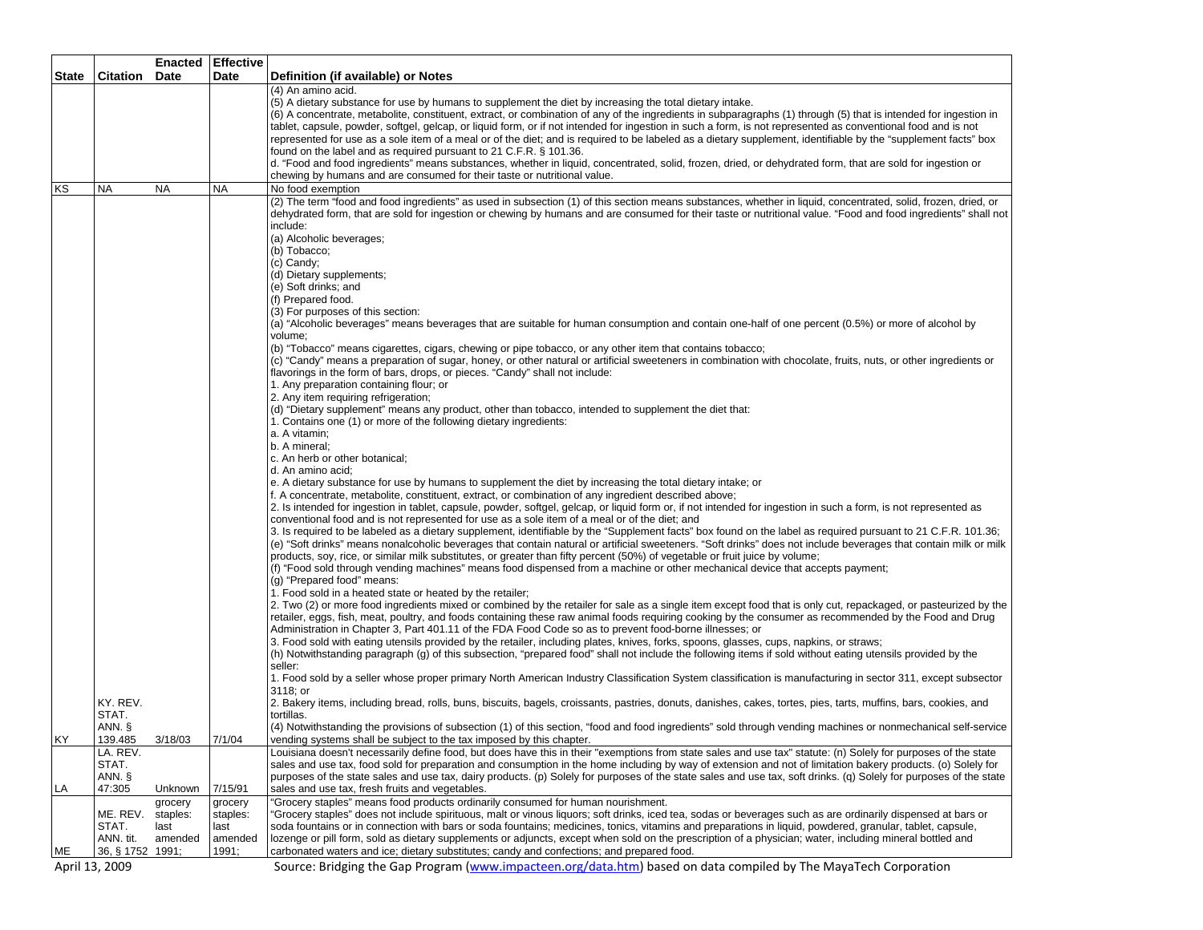|                |                            | <b>Enacted</b> | <b>Effective</b> |                                                                                                                                                                                                                                                                                                                           |
|----------------|----------------------------|----------------|------------------|---------------------------------------------------------------------------------------------------------------------------------------------------------------------------------------------------------------------------------------------------------------------------------------------------------------------------|
| <b>State</b>   | <b>Citation</b>            | <b>Date</b>    | Date             | Definition (if available) or Notes                                                                                                                                                                                                                                                                                        |
|                |                            |                |                  | (4) An amino acid.                                                                                                                                                                                                                                                                                                        |
|                |                            |                |                  | (5) A dietary substance for use by humans to supplement the diet by increasing the total dietary intake.<br>(6) A concentrate, metabolite, constituent, extract, or combination of any of the ingredients in subparagraphs (1) through (5) that is intended for ingestion in                                              |
|                |                            |                |                  | tablet, capsule, powder, softgel, gelcap, or liquid form, or if not intended for ingestion in such a form, is not represented as conventional food and is not                                                                                                                                                             |
|                |                            |                |                  | represented for use as a sole item of a meal or of the diet; and is required to be labeled as a dietary supplement, identifiable by the "supplement facts" box                                                                                                                                                            |
|                |                            |                |                  | found on the label and as required pursuant to 21 C.F.R. § 101.36.                                                                                                                                                                                                                                                        |
|                |                            |                |                  | d. "Food and food ingredients" means substances, whether in liquid, concentrated, solid, frozen, dried, or dehydrated form, that are sold for ingestion or                                                                                                                                                                |
|                |                            |                |                  | chewing by humans and are consumed for their taste or nutritional value.                                                                                                                                                                                                                                                  |
| ΚS             | <b>NA</b>                  | <b>NA</b>      | <b>NA</b>        | No food exemption                                                                                                                                                                                                                                                                                                         |
|                |                            |                |                  | (2) The term "food and food ingredients" as used in subsection (1) of this section means substances, whether in liquid, concentrated, solid, frozen, dried, or                                                                                                                                                            |
|                |                            |                |                  | dehydrated form, that are sold for ingestion or chewing by humans and are consumed for their taste or nutritional value. "Food and food ingredients" shall not                                                                                                                                                            |
|                |                            |                |                  | include:<br>(a) Alcoholic beverages;                                                                                                                                                                                                                                                                                      |
|                |                            |                |                  | (b) Tobacco;                                                                                                                                                                                                                                                                                                              |
|                |                            |                |                  | (c) Candy;                                                                                                                                                                                                                                                                                                                |
|                |                            |                |                  | (d) Dietary supplements;                                                                                                                                                                                                                                                                                                  |
|                |                            |                |                  | (e) Soft drinks; and                                                                                                                                                                                                                                                                                                      |
|                |                            |                |                  | (f) Prepared food.                                                                                                                                                                                                                                                                                                        |
|                |                            |                |                  | (3) For purposes of this section:                                                                                                                                                                                                                                                                                         |
|                |                            |                |                  | (a) "Alcoholic beverages" means beverages that are suitable for human consumption and contain one-half of one percent (0.5%) or more of alcohol by                                                                                                                                                                        |
|                |                            |                |                  | volume:                                                                                                                                                                                                                                                                                                                   |
|                |                            |                |                  | (b) "Tobacco" means cigarettes, cigars, chewing or pipe tobacco, or any other item that contains tobacco;<br>(c) "Candy" means a preparation of sugar, honey, or other natural or artificial sweeteners in combination with chocolate, fruits, nuts, or other ingredients or                                              |
|                |                            |                |                  | flavorings in the form of bars, drops, or pieces. "Candy" shall not include:                                                                                                                                                                                                                                              |
|                |                            |                |                  | 1. Any preparation containing flour; or                                                                                                                                                                                                                                                                                   |
|                |                            |                |                  | 2. Any item requiring refrigeration;                                                                                                                                                                                                                                                                                      |
|                |                            |                |                  | (d) "Dietary supplement" means any product, other than tobacco, intended to supplement the diet that:                                                                                                                                                                                                                     |
|                |                            |                |                  | 1. Contains one (1) or more of the following dietary ingredients:                                                                                                                                                                                                                                                         |
|                |                            |                |                  | a. A vitamin;                                                                                                                                                                                                                                                                                                             |
|                |                            |                |                  | b. A mineral;                                                                                                                                                                                                                                                                                                             |
|                |                            |                |                  | c. An herb or other botanical;<br>d. An amino acid;                                                                                                                                                                                                                                                                       |
|                |                            |                |                  | e. A dietary substance for use by humans to supplement the diet by increasing the total dietary intake; or                                                                                                                                                                                                                |
|                |                            |                |                  | f. A concentrate, metabolite, constituent, extract, or combination of any ingredient described above;                                                                                                                                                                                                                     |
|                |                            |                |                  | 2. Is intended for ingestion in tablet, capsule, powder, softgel, gelcap, or liquid form or, if not intended for ingestion in such a form, is not represented as                                                                                                                                                          |
|                |                            |                |                  | conventional food and is not represented for use as a sole item of a meal or of the diet; and                                                                                                                                                                                                                             |
|                |                            |                |                  | 3. Is required to be labeled as a dietary supplement, identifiable by the "Supplement facts" box found on the label as required pursuant to 21 C.F.R. 101.36;                                                                                                                                                             |
|                |                            |                |                  | (e) "Soft drinks" means nonalcoholic beverages that contain natural or artificial sweeteners. "Soft drinks" does not include beverages that contain milk or milk                                                                                                                                                          |
|                |                            |                |                  | products, soy, rice, or similar milk substitutes, or greater than fifty percent (50%) of vegetable or fruit juice by volume;                                                                                                                                                                                              |
|                |                            |                |                  | (f) "Food sold through vending machines" means food dispensed from a machine or other mechanical device that accepts payment;<br>(g) "Prepared food" means:                                                                                                                                                               |
|                |                            |                |                  | 1. Food sold in a heated state or heated by the retailer;                                                                                                                                                                                                                                                                 |
|                |                            |                |                  | 2. Two (2) or more food ingredients mixed or combined by the retailer for sale as a single item except food that is only cut, repackaged, or pasteurized by the                                                                                                                                                           |
|                |                            |                |                  | retailer, eggs, fish, meat, poultry, and foods containing these raw animal foods requiring cooking by the consumer as recommended by the Food and Drug                                                                                                                                                                    |
|                |                            |                |                  | Administration in Chapter 3, Part 401.11 of the FDA Food Code so as to prevent food-borne illnesses; or                                                                                                                                                                                                                   |
|                |                            |                |                  | 3. Food sold with eating utensils provided by the retailer, including plates, knives, forks, spoons, glasses, cups, napkins, or straws;                                                                                                                                                                                   |
|                |                            |                |                  | (h) Notwithstanding paragraph (g) of this subsection, "prepared food" shall not include the following items if sold without eating utensils provided by the                                                                                                                                                               |
|                |                            |                |                  | seller:                                                                                                                                                                                                                                                                                                                   |
|                |                            |                |                  | 1. Food sold by a seller whose proper primary North American Industry Classification System classification is manufacturing in sector 311, except subsector                                                                                                                                                               |
|                | KY. REV.                   |                |                  | 3118; or<br>2. Bakery items, including bread, rolls, buns, biscuits, bagels, croissants, pastries, donuts, danishes, cakes, tortes, pies, tarts, muffins, bars, cookies, and                                                                                                                                              |
|                | STAT.                      |                |                  | tortillas.                                                                                                                                                                                                                                                                                                                |
|                | ANN. §                     |                |                  | (4) Notwithstanding the provisions of subsection (1) of this section, "food and food ingredients" sold through vending machines or nonmechanical self-service                                                                                                                                                             |
| <b>KY</b>      | 139.485                    | 3/18/03        | 7/1/04           | vending systems shall be subject to the tax imposed by this chapter.                                                                                                                                                                                                                                                      |
|                | LA. REV.                   |                |                  | Louisiana doesn't necessarily define food, but does have this in their "exemptions from state sales and use tax" statute: (n) Solely for purposes of the state                                                                                                                                                            |
|                | STAT.                      |                |                  | sales and use tax, food sold for preparation and consumption in the home including by way of extension and not of limitation bakery products. (o) Solely for                                                                                                                                                              |
|                | ANN. §                     |                |                  | purposes of the state sales and use tax, dairy products. (p) Solely for purposes of the state sales and use tax, soft drinks. (q) Solely for purposes of the state                                                                                                                                                        |
| LA             | 47:305                     | Unknown        | 7/15/91          | sales and use tax, fresh fruits and vegetables.                                                                                                                                                                                                                                                                           |
|                |                            | grocery        | grocery          | "Grocery staples" means food products ordinarily consumed for human nourishment.                                                                                                                                                                                                                                          |
|                | ME. REV. staples:<br>STAT. | last           | staples:<br>last | "Grocery staples" does not include spirituous, malt or vinous liquors; soft drinks, iced tea, sodas or beverages such as are ordinarily dispensed at bars or<br>soda fountains or in connection with bars or soda fountains; medicines, tonics, vitamins and preparations in liquid, powdered, granular, tablet, capsule, |
|                | ANN. tit.                  | amended        | amended          | lozenge or pill form, sold as dietary supplements or adjuncts, except when sold on the prescription of a physician; water, including mineral bottled and                                                                                                                                                                  |
| ME             | 36, § 1752 1991;           |                | 1991;            | carbonated waters and ice; dietary substitutes; candy and confections; and prepared food.                                                                                                                                                                                                                                 |
| April 13, 2009 |                            |                |                  | Source: Bridging the Gap Program (www.impacteen.org/data.htm) based on data compiled by The MayaTech Corporation                                                                                                                                                                                                          |
|                |                            |                |                  |                                                                                                                                                                                                                                                                                                                           |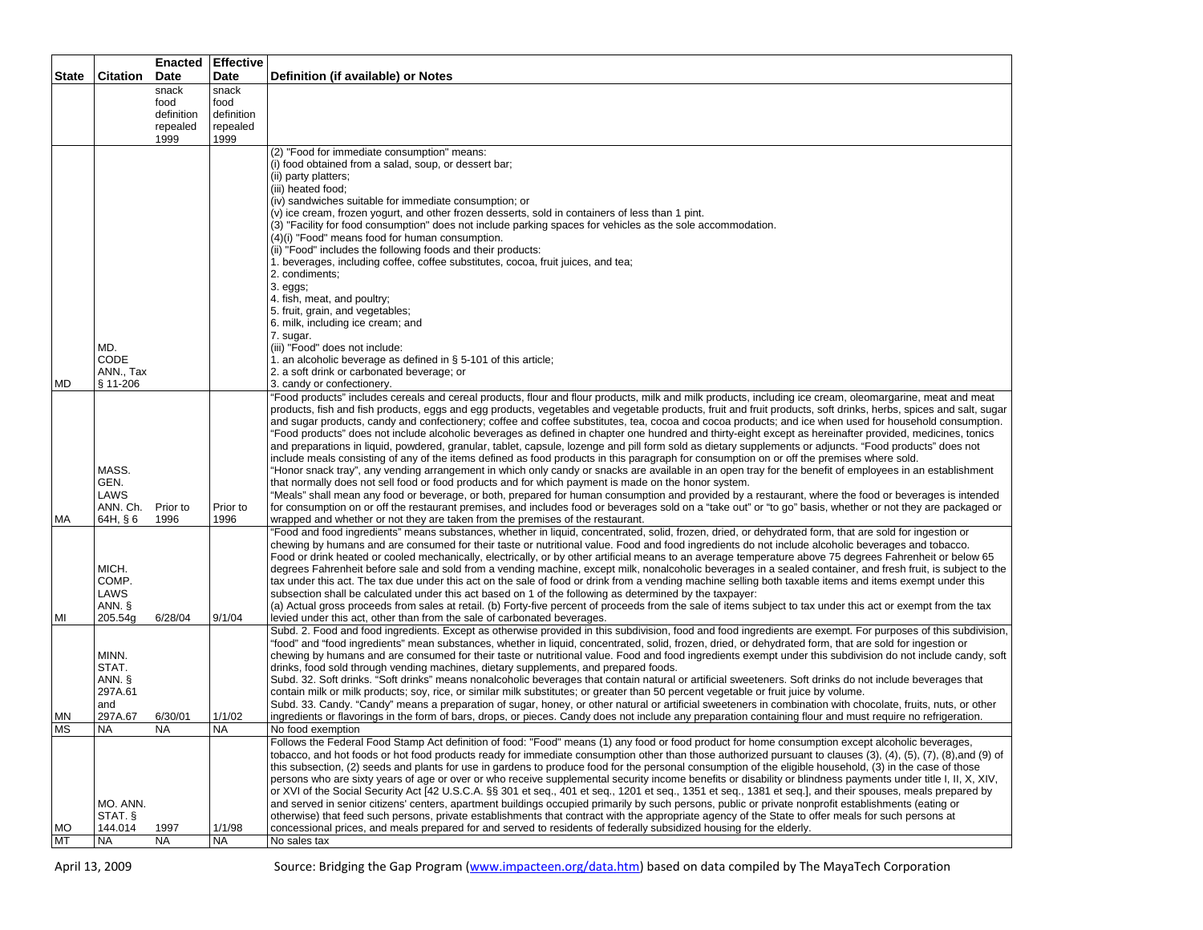| <b>Citation</b><br>Date<br>Date<br>Definition (if available) or Notes<br>snack<br>snack<br>food<br>food<br>definition<br>definition<br>repealed<br>repealed<br>1999<br>1999<br>(2) "Food for immediate consumption" means:<br>(i) food obtained from a salad, soup, or dessert bar;<br>(ii) party platters;<br>(iii) heated food;<br>(iv) sandwiches suitable for immediate consumption; or<br>(v) ice cream, frozen yogurt, and other frozen desserts, sold in containers of less than 1 pint.<br>(3) "Facility for food consumption" does not include parking spaces for vehicles as the sole accommodation.<br>(4)(i) "Food" means food for human consumption.<br>(ii) "Food" includes the following foods and their products:<br>1. beverages, including coffee, coffee substitutes, cocoa, fruit juices, and tea;<br>2. condiments;<br>$3. eggs;$<br>4. fish, meat, and poultry;<br>5. fruit, grain, and vegetables;<br>6. milk, including ice cream; and<br>7. sugar.<br>MD.<br>(iii) "Food" does not include:<br><b>CODE</b><br>1. an alcoholic beverage as defined in § 5-101 of this article;<br>ANN., Tax<br>2. a soft drink or carbonated beverage; or<br>MD<br>§ 11-206<br>3. candy or confectionery.<br>"Food products" includes cereals and cereal products, flour and flour products, milk and milk products, including ice cream, oleomargarine, meat and meat<br>"Food products" does not include alcoholic beverages as defined in chapter one hundred and thirty-eight except as hereinafter provided, medicines, tonics<br>and preparations in liquid, powdered, granular, tablet, capsule, lozenge and pill form sold as dietary supplements or adjuncts. "Food products" does not<br>include meals consisting of any of the items defined as food products in this paragraph for consumption on or off the premises where sold.<br>MASS.<br>"Honor snack tray", any vending arrangement in which only candy or snacks are available in an open tray for the benefit of employees in an establishment<br>GEN.<br>that normally does not sell food or food products and for which payment is made on the honor system.<br>LAWS<br>"Meals" shall mean any food or beverage, or both, prepared for human consumption and provided by a restaurant, where the food or beverages is intended<br>for consumption on or off the restaurant premises, and includes food or beverages sold on a "take out" or "to go" basis, whether or not they are packaged or<br>ANN. Ch. Prior to<br>Prior to<br>МA<br>64H, § 6<br>1996<br>1996<br>wrapped and whether or not they are taken from the premises of the restaurant.<br>"Food and food ingredients" means substances, whether in liquid, concentrated, solid, frozen, dried, or dehydrated form, that are sold for ingestion or<br>chewing by humans and are consumed for their taste or nutritional value. Food and food ingredients do not include alcoholic beverages and tobacco.<br>Food or drink heated or cooled mechanically, electrically, or by other artificial means to an average temperature above 75 degrees Fahrenheit or below 65<br>MICH.<br>degrees Fahrenheit before sale and sold from a vending machine, except milk, nonalcoholic beverages in a sealed container, and fresh fruit, is subject to the<br>COMP.<br>tax under this act. The tax due under this act on the sale of food or drink from a vending machine selling both taxable items and items exempt under this<br>LAWS<br>subsection shall be calculated under this act based on 1 of the following as determined by the taxpayer:<br>(a) Actual gross proceeds from sales at retail. (b) Forty-five percent of proceeds from the sale of items subject to tax under this act or exempt from the tax<br>ANN. §<br>9/1/04<br>MI<br>6/28/04<br>levied under this act, other than from the sale of carbonated beverages.<br>205.54g<br>"food" and "food ingredients" mean substances, whether in liquid, concentrated, solid, frozen, dried, or dehydrated form, that are sold for ingestion or<br>MINN.<br>chewing by humans and are consumed for their taste or nutritional value. Food and food ingredients exempt under this subdivision do not include candy, soft<br>STAT.<br>drinks, food sold through vending machines, dietary supplements, and prepared foods.<br>Subd. 32. Soft drinks. "Soft drinks" means nonalcoholic beverages that contain natural or artificial sweeteners. Soft drinks do not include beverages that<br>ANN. §<br>297A.61<br>contain milk or milk products; soy, rice, or similar milk substitutes; or greater than 50 percent vegetable or fruit juice by volume.<br>Subd. 33. Candy. "Candy" means a preparation of sugar, honey, or other natural or artificial sweeteners in combination with chocolate, fruits, nuts, or other<br>and<br>ingredients or flavorings in the form of bars, drops, or pieces. Candy does not include any preparation containing flour and must require no refrigeration.<br>297A.67<br>1/1/02<br>ΜN<br>6/30/01<br><b>MS</b><br><b>NA</b><br>NA<br>NA<br>No food exemption<br>Follows the Federal Food Stamp Act definition of food: "Food" means (1) any food or food product for home consumption except alcoholic beverages,<br>tobacco, and hot foods or hot food products ready for immediate consumption other than those authorized pursuant to clauses (3), (4), (5), (7), (8), and (9) of<br>this subsection, (2) seeds and plants for use in gardens to produce food for the personal consumption of the eligible household, (3) in the case of those |              |  | <b>Enacted Effective</b> |                                                                                                                                                                  |
|---------------------------------------------------------------------------------------------------------------------------------------------------------------------------------------------------------------------------------------------------------------------------------------------------------------------------------------------------------------------------------------------------------------------------------------------------------------------------------------------------------------------------------------------------------------------------------------------------------------------------------------------------------------------------------------------------------------------------------------------------------------------------------------------------------------------------------------------------------------------------------------------------------------------------------------------------------------------------------------------------------------------------------------------------------------------------------------------------------------------------------------------------------------------------------------------------------------------------------------------------------------------------------------------------------------------------------------------------------------------------------------------------------------------------------------------------------------------------------------------------------------------------------------------------------------------------------------------------------------------------------------------------------------------------------------------------------------------------------------------------------------------------------------------------------------------------------------------------------------------------------------------------------------------------------------------------------------------------------------------------------------------------------------------------------------------------------------------------------------------------------------------------------------------------------------------------------------------------------------------------------------------------------------------------------------------------------------------------------------------------------------------------------------------------------------------------------------------------------------------------------------------------------------------------------------------------------------------------------------------------------------------------------------------------------------------------------------------------------------------------------------------------------------------------------------------------------------------------------------------------------------------------------------------------------------------------------------------------------------------------------------------------------------------------------------------------------------------------------------------------------------------------------------------------------------------------------------------------------------------------------------------------------------------------------------------------------------------------------------------------------------------------------------------------------------------------------------------------------------------------------------------------------------------------------------------------------------------------------------------------------------------------------------------------------------------------------------------------------------------------------------------------------------------------------------------------------------------------------------------------------------------------------------------------------------------------------------------------------------------------------------------------------------------------------------------------------------------------------------------------------------------------------------------------------------------------------------------------------------------------------------------------------------------------------------------------------------------------------------------------------------------------------------------------------------------------------------------------------------------------------------------------------------------------------------------------------------------------------------------------------------------------------------------------------------------------------------------------------------------------------------------------------------------------------------------------------------------------------------------------------------------------------------------------------------------------------------------------------------------------------------------------------------------------------------------------------------------------------------------------------------------------------------------------------------------------------------------------------------------------------------------------------------------------------------------------------------------------------------------------------------------------------------------------------------------------------------------------------------------------------------------------------------------------------------------------------|--------------|--|--------------------------|------------------------------------------------------------------------------------------------------------------------------------------------------------------|
|                                                                                                                                                                                                                                                                                                                                                                                                                                                                                                                                                                                                                                                                                                                                                                                                                                                                                                                                                                                                                                                                                                                                                                                                                                                                                                                                                                                                                                                                                                                                                                                                                                                                                                                                                                                                                                                                                                                                                                                                                                                                                                                                                                                                                                                                                                                                                                                                                                                                                                                                                                                                                                                                                                                                                                                                                                                                                                                                                                                                                                                                                                                                                                                                                                                                                                                                                                                                                                                                                                                                                                                                                                                                                                                                                                                                                                                                                                                                                                                                                                                                                                                                                                                                                                                                                                                                                                                                                                                                                                                                                                                                                                                                                                                                                                                                                                                                                                                                                                                                                                                                                                                                                                                                                                                                                                                                                                                                                                                                                                                                                                                 | <b>State</b> |  |                          |                                                                                                                                                                  |
|                                                                                                                                                                                                                                                                                                                                                                                                                                                                                                                                                                                                                                                                                                                                                                                                                                                                                                                                                                                                                                                                                                                                                                                                                                                                                                                                                                                                                                                                                                                                                                                                                                                                                                                                                                                                                                                                                                                                                                                                                                                                                                                                                                                                                                                                                                                                                                                                                                                                                                                                                                                                                                                                                                                                                                                                                                                                                                                                                                                                                                                                                                                                                                                                                                                                                                                                                                                                                                                                                                                                                                                                                                                                                                                                                                                                                                                                                                                                                                                                                                                                                                                                                                                                                                                                                                                                                                                                                                                                                                                                                                                                                                                                                                                                                                                                                                                                                                                                                                                                                                                                                                                                                                                                                                                                                                                                                                                                                                                                                                                                                                                 |              |  |                          |                                                                                                                                                                  |
|                                                                                                                                                                                                                                                                                                                                                                                                                                                                                                                                                                                                                                                                                                                                                                                                                                                                                                                                                                                                                                                                                                                                                                                                                                                                                                                                                                                                                                                                                                                                                                                                                                                                                                                                                                                                                                                                                                                                                                                                                                                                                                                                                                                                                                                                                                                                                                                                                                                                                                                                                                                                                                                                                                                                                                                                                                                                                                                                                                                                                                                                                                                                                                                                                                                                                                                                                                                                                                                                                                                                                                                                                                                                                                                                                                                                                                                                                                                                                                                                                                                                                                                                                                                                                                                                                                                                                                                                                                                                                                                                                                                                                                                                                                                                                                                                                                                                                                                                                                                                                                                                                                                                                                                                                                                                                                                                                                                                                                                                                                                                                                                 |              |  |                          |                                                                                                                                                                  |
|                                                                                                                                                                                                                                                                                                                                                                                                                                                                                                                                                                                                                                                                                                                                                                                                                                                                                                                                                                                                                                                                                                                                                                                                                                                                                                                                                                                                                                                                                                                                                                                                                                                                                                                                                                                                                                                                                                                                                                                                                                                                                                                                                                                                                                                                                                                                                                                                                                                                                                                                                                                                                                                                                                                                                                                                                                                                                                                                                                                                                                                                                                                                                                                                                                                                                                                                                                                                                                                                                                                                                                                                                                                                                                                                                                                                                                                                                                                                                                                                                                                                                                                                                                                                                                                                                                                                                                                                                                                                                                                                                                                                                                                                                                                                                                                                                                                                                                                                                                                                                                                                                                                                                                                                                                                                                                                                                                                                                                                                                                                                                                                 |              |  |                          |                                                                                                                                                                  |
|                                                                                                                                                                                                                                                                                                                                                                                                                                                                                                                                                                                                                                                                                                                                                                                                                                                                                                                                                                                                                                                                                                                                                                                                                                                                                                                                                                                                                                                                                                                                                                                                                                                                                                                                                                                                                                                                                                                                                                                                                                                                                                                                                                                                                                                                                                                                                                                                                                                                                                                                                                                                                                                                                                                                                                                                                                                                                                                                                                                                                                                                                                                                                                                                                                                                                                                                                                                                                                                                                                                                                                                                                                                                                                                                                                                                                                                                                                                                                                                                                                                                                                                                                                                                                                                                                                                                                                                                                                                                                                                                                                                                                                                                                                                                                                                                                                                                                                                                                                                                                                                                                                                                                                                                                                                                                                                                                                                                                                                                                                                                                                                 |              |  |                          |                                                                                                                                                                  |
|                                                                                                                                                                                                                                                                                                                                                                                                                                                                                                                                                                                                                                                                                                                                                                                                                                                                                                                                                                                                                                                                                                                                                                                                                                                                                                                                                                                                                                                                                                                                                                                                                                                                                                                                                                                                                                                                                                                                                                                                                                                                                                                                                                                                                                                                                                                                                                                                                                                                                                                                                                                                                                                                                                                                                                                                                                                                                                                                                                                                                                                                                                                                                                                                                                                                                                                                                                                                                                                                                                                                                                                                                                                                                                                                                                                                                                                                                                                                                                                                                                                                                                                                                                                                                                                                                                                                                                                                                                                                                                                                                                                                                                                                                                                                                                                                                                                                                                                                                                                                                                                                                                                                                                                                                                                                                                                                                                                                                                                                                                                                                                                 |              |  |                          |                                                                                                                                                                  |
|                                                                                                                                                                                                                                                                                                                                                                                                                                                                                                                                                                                                                                                                                                                                                                                                                                                                                                                                                                                                                                                                                                                                                                                                                                                                                                                                                                                                                                                                                                                                                                                                                                                                                                                                                                                                                                                                                                                                                                                                                                                                                                                                                                                                                                                                                                                                                                                                                                                                                                                                                                                                                                                                                                                                                                                                                                                                                                                                                                                                                                                                                                                                                                                                                                                                                                                                                                                                                                                                                                                                                                                                                                                                                                                                                                                                                                                                                                                                                                                                                                                                                                                                                                                                                                                                                                                                                                                                                                                                                                                                                                                                                                                                                                                                                                                                                                                                                                                                                                                                                                                                                                                                                                                                                                                                                                                                                                                                                                                                                                                                                                                 |              |  |                          |                                                                                                                                                                  |
|                                                                                                                                                                                                                                                                                                                                                                                                                                                                                                                                                                                                                                                                                                                                                                                                                                                                                                                                                                                                                                                                                                                                                                                                                                                                                                                                                                                                                                                                                                                                                                                                                                                                                                                                                                                                                                                                                                                                                                                                                                                                                                                                                                                                                                                                                                                                                                                                                                                                                                                                                                                                                                                                                                                                                                                                                                                                                                                                                                                                                                                                                                                                                                                                                                                                                                                                                                                                                                                                                                                                                                                                                                                                                                                                                                                                                                                                                                                                                                                                                                                                                                                                                                                                                                                                                                                                                                                                                                                                                                                                                                                                                                                                                                                                                                                                                                                                                                                                                                                                                                                                                                                                                                                                                                                                                                                                                                                                                                                                                                                                                                                 |              |  |                          |                                                                                                                                                                  |
|                                                                                                                                                                                                                                                                                                                                                                                                                                                                                                                                                                                                                                                                                                                                                                                                                                                                                                                                                                                                                                                                                                                                                                                                                                                                                                                                                                                                                                                                                                                                                                                                                                                                                                                                                                                                                                                                                                                                                                                                                                                                                                                                                                                                                                                                                                                                                                                                                                                                                                                                                                                                                                                                                                                                                                                                                                                                                                                                                                                                                                                                                                                                                                                                                                                                                                                                                                                                                                                                                                                                                                                                                                                                                                                                                                                                                                                                                                                                                                                                                                                                                                                                                                                                                                                                                                                                                                                                                                                                                                                                                                                                                                                                                                                                                                                                                                                                                                                                                                                                                                                                                                                                                                                                                                                                                                                                                                                                                                                                                                                                                                                 |              |  |                          |                                                                                                                                                                  |
|                                                                                                                                                                                                                                                                                                                                                                                                                                                                                                                                                                                                                                                                                                                                                                                                                                                                                                                                                                                                                                                                                                                                                                                                                                                                                                                                                                                                                                                                                                                                                                                                                                                                                                                                                                                                                                                                                                                                                                                                                                                                                                                                                                                                                                                                                                                                                                                                                                                                                                                                                                                                                                                                                                                                                                                                                                                                                                                                                                                                                                                                                                                                                                                                                                                                                                                                                                                                                                                                                                                                                                                                                                                                                                                                                                                                                                                                                                                                                                                                                                                                                                                                                                                                                                                                                                                                                                                                                                                                                                                                                                                                                                                                                                                                                                                                                                                                                                                                                                                                                                                                                                                                                                                                                                                                                                                                                                                                                                                                                                                                                                                 |              |  |                          |                                                                                                                                                                  |
|                                                                                                                                                                                                                                                                                                                                                                                                                                                                                                                                                                                                                                                                                                                                                                                                                                                                                                                                                                                                                                                                                                                                                                                                                                                                                                                                                                                                                                                                                                                                                                                                                                                                                                                                                                                                                                                                                                                                                                                                                                                                                                                                                                                                                                                                                                                                                                                                                                                                                                                                                                                                                                                                                                                                                                                                                                                                                                                                                                                                                                                                                                                                                                                                                                                                                                                                                                                                                                                                                                                                                                                                                                                                                                                                                                                                                                                                                                                                                                                                                                                                                                                                                                                                                                                                                                                                                                                                                                                                                                                                                                                                                                                                                                                                                                                                                                                                                                                                                                                                                                                                                                                                                                                                                                                                                                                                                                                                                                                                                                                                                                                 |              |  |                          |                                                                                                                                                                  |
|                                                                                                                                                                                                                                                                                                                                                                                                                                                                                                                                                                                                                                                                                                                                                                                                                                                                                                                                                                                                                                                                                                                                                                                                                                                                                                                                                                                                                                                                                                                                                                                                                                                                                                                                                                                                                                                                                                                                                                                                                                                                                                                                                                                                                                                                                                                                                                                                                                                                                                                                                                                                                                                                                                                                                                                                                                                                                                                                                                                                                                                                                                                                                                                                                                                                                                                                                                                                                                                                                                                                                                                                                                                                                                                                                                                                                                                                                                                                                                                                                                                                                                                                                                                                                                                                                                                                                                                                                                                                                                                                                                                                                                                                                                                                                                                                                                                                                                                                                                                                                                                                                                                                                                                                                                                                                                                                                                                                                                                                                                                                                                                 |              |  |                          |                                                                                                                                                                  |
|                                                                                                                                                                                                                                                                                                                                                                                                                                                                                                                                                                                                                                                                                                                                                                                                                                                                                                                                                                                                                                                                                                                                                                                                                                                                                                                                                                                                                                                                                                                                                                                                                                                                                                                                                                                                                                                                                                                                                                                                                                                                                                                                                                                                                                                                                                                                                                                                                                                                                                                                                                                                                                                                                                                                                                                                                                                                                                                                                                                                                                                                                                                                                                                                                                                                                                                                                                                                                                                                                                                                                                                                                                                                                                                                                                                                                                                                                                                                                                                                                                                                                                                                                                                                                                                                                                                                                                                                                                                                                                                                                                                                                                                                                                                                                                                                                                                                                                                                                                                                                                                                                                                                                                                                                                                                                                                                                                                                                                                                                                                                                                                 |              |  |                          |                                                                                                                                                                  |
|                                                                                                                                                                                                                                                                                                                                                                                                                                                                                                                                                                                                                                                                                                                                                                                                                                                                                                                                                                                                                                                                                                                                                                                                                                                                                                                                                                                                                                                                                                                                                                                                                                                                                                                                                                                                                                                                                                                                                                                                                                                                                                                                                                                                                                                                                                                                                                                                                                                                                                                                                                                                                                                                                                                                                                                                                                                                                                                                                                                                                                                                                                                                                                                                                                                                                                                                                                                                                                                                                                                                                                                                                                                                                                                                                                                                                                                                                                                                                                                                                                                                                                                                                                                                                                                                                                                                                                                                                                                                                                                                                                                                                                                                                                                                                                                                                                                                                                                                                                                                                                                                                                                                                                                                                                                                                                                                                                                                                                                                                                                                                                                 |              |  |                          |                                                                                                                                                                  |
|                                                                                                                                                                                                                                                                                                                                                                                                                                                                                                                                                                                                                                                                                                                                                                                                                                                                                                                                                                                                                                                                                                                                                                                                                                                                                                                                                                                                                                                                                                                                                                                                                                                                                                                                                                                                                                                                                                                                                                                                                                                                                                                                                                                                                                                                                                                                                                                                                                                                                                                                                                                                                                                                                                                                                                                                                                                                                                                                                                                                                                                                                                                                                                                                                                                                                                                                                                                                                                                                                                                                                                                                                                                                                                                                                                                                                                                                                                                                                                                                                                                                                                                                                                                                                                                                                                                                                                                                                                                                                                                                                                                                                                                                                                                                                                                                                                                                                                                                                                                                                                                                                                                                                                                                                                                                                                                                                                                                                                                                                                                                                                                 |              |  |                          |                                                                                                                                                                  |
|                                                                                                                                                                                                                                                                                                                                                                                                                                                                                                                                                                                                                                                                                                                                                                                                                                                                                                                                                                                                                                                                                                                                                                                                                                                                                                                                                                                                                                                                                                                                                                                                                                                                                                                                                                                                                                                                                                                                                                                                                                                                                                                                                                                                                                                                                                                                                                                                                                                                                                                                                                                                                                                                                                                                                                                                                                                                                                                                                                                                                                                                                                                                                                                                                                                                                                                                                                                                                                                                                                                                                                                                                                                                                                                                                                                                                                                                                                                                                                                                                                                                                                                                                                                                                                                                                                                                                                                                                                                                                                                                                                                                                                                                                                                                                                                                                                                                                                                                                                                                                                                                                                                                                                                                                                                                                                                                                                                                                                                                                                                                                                                 |              |  |                          |                                                                                                                                                                  |
|                                                                                                                                                                                                                                                                                                                                                                                                                                                                                                                                                                                                                                                                                                                                                                                                                                                                                                                                                                                                                                                                                                                                                                                                                                                                                                                                                                                                                                                                                                                                                                                                                                                                                                                                                                                                                                                                                                                                                                                                                                                                                                                                                                                                                                                                                                                                                                                                                                                                                                                                                                                                                                                                                                                                                                                                                                                                                                                                                                                                                                                                                                                                                                                                                                                                                                                                                                                                                                                                                                                                                                                                                                                                                                                                                                                                                                                                                                                                                                                                                                                                                                                                                                                                                                                                                                                                                                                                                                                                                                                                                                                                                                                                                                                                                                                                                                                                                                                                                                                                                                                                                                                                                                                                                                                                                                                                                                                                                                                                                                                                                                                 |              |  |                          |                                                                                                                                                                  |
|                                                                                                                                                                                                                                                                                                                                                                                                                                                                                                                                                                                                                                                                                                                                                                                                                                                                                                                                                                                                                                                                                                                                                                                                                                                                                                                                                                                                                                                                                                                                                                                                                                                                                                                                                                                                                                                                                                                                                                                                                                                                                                                                                                                                                                                                                                                                                                                                                                                                                                                                                                                                                                                                                                                                                                                                                                                                                                                                                                                                                                                                                                                                                                                                                                                                                                                                                                                                                                                                                                                                                                                                                                                                                                                                                                                                                                                                                                                                                                                                                                                                                                                                                                                                                                                                                                                                                                                                                                                                                                                                                                                                                                                                                                                                                                                                                                                                                                                                                                                                                                                                                                                                                                                                                                                                                                                                                                                                                                                                                                                                                                                 |              |  |                          |                                                                                                                                                                  |
|                                                                                                                                                                                                                                                                                                                                                                                                                                                                                                                                                                                                                                                                                                                                                                                                                                                                                                                                                                                                                                                                                                                                                                                                                                                                                                                                                                                                                                                                                                                                                                                                                                                                                                                                                                                                                                                                                                                                                                                                                                                                                                                                                                                                                                                                                                                                                                                                                                                                                                                                                                                                                                                                                                                                                                                                                                                                                                                                                                                                                                                                                                                                                                                                                                                                                                                                                                                                                                                                                                                                                                                                                                                                                                                                                                                                                                                                                                                                                                                                                                                                                                                                                                                                                                                                                                                                                                                                                                                                                                                                                                                                                                                                                                                                                                                                                                                                                                                                                                                                                                                                                                                                                                                                                                                                                                                                                                                                                                                                                                                                                                                 |              |  |                          |                                                                                                                                                                  |
|                                                                                                                                                                                                                                                                                                                                                                                                                                                                                                                                                                                                                                                                                                                                                                                                                                                                                                                                                                                                                                                                                                                                                                                                                                                                                                                                                                                                                                                                                                                                                                                                                                                                                                                                                                                                                                                                                                                                                                                                                                                                                                                                                                                                                                                                                                                                                                                                                                                                                                                                                                                                                                                                                                                                                                                                                                                                                                                                                                                                                                                                                                                                                                                                                                                                                                                                                                                                                                                                                                                                                                                                                                                                                                                                                                                                                                                                                                                                                                                                                                                                                                                                                                                                                                                                                                                                                                                                                                                                                                                                                                                                                                                                                                                                                                                                                                                                                                                                                                                                                                                                                                                                                                                                                                                                                                                                                                                                                                                                                                                                                                                 |              |  |                          |                                                                                                                                                                  |
|                                                                                                                                                                                                                                                                                                                                                                                                                                                                                                                                                                                                                                                                                                                                                                                                                                                                                                                                                                                                                                                                                                                                                                                                                                                                                                                                                                                                                                                                                                                                                                                                                                                                                                                                                                                                                                                                                                                                                                                                                                                                                                                                                                                                                                                                                                                                                                                                                                                                                                                                                                                                                                                                                                                                                                                                                                                                                                                                                                                                                                                                                                                                                                                                                                                                                                                                                                                                                                                                                                                                                                                                                                                                                                                                                                                                                                                                                                                                                                                                                                                                                                                                                                                                                                                                                                                                                                                                                                                                                                                                                                                                                                                                                                                                                                                                                                                                                                                                                                                                                                                                                                                                                                                                                                                                                                                                                                                                                                                                                                                                                                                 |              |  |                          |                                                                                                                                                                  |
|                                                                                                                                                                                                                                                                                                                                                                                                                                                                                                                                                                                                                                                                                                                                                                                                                                                                                                                                                                                                                                                                                                                                                                                                                                                                                                                                                                                                                                                                                                                                                                                                                                                                                                                                                                                                                                                                                                                                                                                                                                                                                                                                                                                                                                                                                                                                                                                                                                                                                                                                                                                                                                                                                                                                                                                                                                                                                                                                                                                                                                                                                                                                                                                                                                                                                                                                                                                                                                                                                                                                                                                                                                                                                                                                                                                                                                                                                                                                                                                                                                                                                                                                                                                                                                                                                                                                                                                                                                                                                                                                                                                                                                                                                                                                                                                                                                                                                                                                                                                                                                                                                                                                                                                                                                                                                                                                                                                                                                                                                                                                                                                 |              |  |                          |                                                                                                                                                                  |
|                                                                                                                                                                                                                                                                                                                                                                                                                                                                                                                                                                                                                                                                                                                                                                                                                                                                                                                                                                                                                                                                                                                                                                                                                                                                                                                                                                                                                                                                                                                                                                                                                                                                                                                                                                                                                                                                                                                                                                                                                                                                                                                                                                                                                                                                                                                                                                                                                                                                                                                                                                                                                                                                                                                                                                                                                                                                                                                                                                                                                                                                                                                                                                                                                                                                                                                                                                                                                                                                                                                                                                                                                                                                                                                                                                                                                                                                                                                                                                                                                                                                                                                                                                                                                                                                                                                                                                                                                                                                                                                                                                                                                                                                                                                                                                                                                                                                                                                                                                                                                                                                                                                                                                                                                                                                                                                                                                                                                                                                                                                                                                                 |              |  |                          |                                                                                                                                                                  |
|                                                                                                                                                                                                                                                                                                                                                                                                                                                                                                                                                                                                                                                                                                                                                                                                                                                                                                                                                                                                                                                                                                                                                                                                                                                                                                                                                                                                                                                                                                                                                                                                                                                                                                                                                                                                                                                                                                                                                                                                                                                                                                                                                                                                                                                                                                                                                                                                                                                                                                                                                                                                                                                                                                                                                                                                                                                                                                                                                                                                                                                                                                                                                                                                                                                                                                                                                                                                                                                                                                                                                                                                                                                                                                                                                                                                                                                                                                                                                                                                                                                                                                                                                                                                                                                                                                                                                                                                                                                                                                                                                                                                                                                                                                                                                                                                                                                                                                                                                                                                                                                                                                                                                                                                                                                                                                                                                                                                                                                                                                                                                                                 |              |  |                          |                                                                                                                                                                  |
|                                                                                                                                                                                                                                                                                                                                                                                                                                                                                                                                                                                                                                                                                                                                                                                                                                                                                                                                                                                                                                                                                                                                                                                                                                                                                                                                                                                                                                                                                                                                                                                                                                                                                                                                                                                                                                                                                                                                                                                                                                                                                                                                                                                                                                                                                                                                                                                                                                                                                                                                                                                                                                                                                                                                                                                                                                                                                                                                                                                                                                                                                                                                                                                                                                                                                                                                                                                                                                                                                                                                                                                                                                                                                                                                                                                                                                                                                                                                                                                                                                                                                                                                                                                                                                                                                                                                                                                                                                                                                                                                                                                                                                                                                                                                                                                                                                                                                                                                                                                                                                                                                                                                                                                                                                                                                                                                                                                                                                                                                                                                                                                 |              |  |                          | products, fish and fish products, eggs and egg products, vegetables and vegetable products, fruit and fruit products, soft drinks, herbs, spices and salt, sugar |
|                                                                                                                                                                                                                                                                                                                                                                                                                                                                                                                                                                                                                                                                                                                                                                                                                                                                                                                                                                                                                                                                                                                                                                                                                                                                                                                                                                                                                                                                                                                                                                                                                                                                                                                                                                                                                                                                                                                                                                                                                                                                                                                                                                                                                                                                                                                                                                                                                                                                                                                                                                                                                                                                                                                                                                                                                                                                                                                                                                                                                                                                                                                                                                                                                                                                                                                                                                                                                                                                                                                                                                                                                                                                                                                                                                                                                                                                                                                                                                                                                                                                                                                                                                                                                                                                                                                                                                                                                                                                                                                                                                                                                                                                                                                                                                                                                                                                                                                                                                                                                                                                                                                                                                                                                                                                                                                                                                                                                                                                                                                                                                                 |              |  |                          | and sugar products, candy and confectionery; coffee and coffee substitutes, tea, cocoa and cocoa products; and ice when used for household consumption.          |
|                                                                                                                                                                                                                                                                                                                                                                                                                                                                                                                                                                                                                                                                                                                                                                                                                                                                                                                                                                                                                                                                                                                                                                                                                                                                                                                                                                                                                                                                                                                                                                                                                                                                                                                                                                                                                                                                                                                                                                                                                                                                                                                                                                                                                                                                                                                                                                                                                                                                                                                                                                                                                                                                                                                                                                                                                                                                                                                                                                                                                                                                                                                                                                                                                                                                                                                                                                                                                                                                                                                                                                                                                                                                                                                                                                                                                                                                                                                                                                                                                                                                                                                                                                                                                                                                                                                                                                                                                                                                                                                                                                                                                                                                                                                                                                                                                                                                                                                                                                                                                                                                                                                                                                                                                                                                                                                                                                                                                                                                                                                                                                                 |              |  |                          |                                                                                                                                                                  |
|                                                                                                                                                                                                                                                                                                                                                                                                                                                                                                                                                                                                                                                                                                                                                                                                                                                                                                                                                                                                                                                                                                                                                                                                                                                                                                                                                                                                                                                                                                                                                                                                                                                                                                                                                                                                                                                                                                                                                                                                                                                                                                                                                                                                                                                                                                                                                                                                                                                                                                                                                                                                                                                                                                                                                                                                                                                                                                                                                                                                                                                                                                                                                                                                                                                                                                                                                                                                                                                                                                                                                                                                                                                                                                                                                                                                                                                                                                                                                                                                                                                                                                                                                                                                                                                                                                                                                                                                                                                                                                                                                                                                                                                                                                                                                                                                                                                                                                                                                                                                                                                                                                                                                                                                                                                                                                                                                                                                                                                                                                                                                                                 |              |  |                          |                                                                                                                                                                  |
|                                                                                                                                                                                                                                                                                                                                                                                                                                                                                                                                                                                                                                                                                                                                                                                                                                                                                                                                                                                                                                                                                                                                                                                                                                                                                                                                                                                                                                                                                                                                                                                                                                                                                                                                                                                                                                                                                                                                                                                                                                                                                                                                                                                                                                                                                                                                                                                                                                                                                                                                                                                                                                                                                                                                                                                                                                                                                                                                                                                                                                                                                                                                                                                                                                                                                                                                                                                                                                                                                                                                                                                                                                                                                                                                                                                                                                                                                                                                                                                                                                                                                                                                                                                                                                                                                                                                                                                                                                                                                                                                                                                                                                                                                                                                                                                                                                                                                                                                                                                                                                                                                                                                                                                                                                                                                                                                                                                                                                                                                                                                                                                 |              |  |                          |                                                                                                                                                                  |
|                                                                                                                                                                                                                                                                                                                                                                                                                                                                                                                                                                                                                                                                                                                                                                                                                                                                                                                                                                                                                                                                                                                                                                                                                                                                                                                                                                                                                                                                                                                                                                                                                                                                                                                                                                                                                                                                                                                                                                                                                                                                                                                                                                                                                                                                                                                                                                                                                                                                                                                                                                                                                                                                                                                                                                                                                                                                                                                                                                                                                                                                                                                                                                                                                                                                                                                                                                                                                                                                                                                                                                                                                                                                                                                                                                                                                                                                                                                                                                                                                                                                                                                                                                                                                                                                                                                                                                                                                                                                                                                                                                                                                                                                                                                                                                                                                                                                                                                                                                                                                                                                                                                                                                                                                                                                                                                                                                                                                                                                                                                                                                                 |              |  |                          |                                                                                                                                                                  |
|                                                                                                                                                                                                                                                                                                                                                                                                                                                                                                                                                                                                                                                                                                                                                                                                                                                                                                                                                                                                                                                                                                                                                                                                                                                                                                                                                                                                                                                                                                                                                                                                                                                                                                                                                                                                                                                                                                                                                                                                                                                                                                                                                                                                                                                                                                                                                                                                                                                                                                                                                                                                                                                                                                                                                                                                                                                                                                                                                                                                                                                                                                                                                                                                                                                                                                                                                                                                                                                                                                                                                                                                                                                                                                                                                                                                                                                                                                                                                                                                                                                                                                                                                                                                                                                                                                                                                                                                                                                                                                                                                                                                                                                                                                                                                                                                                                                                                                                                                                                                                                                                                                                                                                                                                                                                                                                                                                                                                                                                                                                                                                                 |              |  |                          |                                                                                                                                                                  |
|                                                                                                                                                                                                                                                                                                                                                                                                                                                                                                                                                                                                                                                                                                                                                                                                                                                                                                                                                                                                                                                                                                                                                                                                                                                                                                                                                                                                                                                                                                                                                                                                                                                                                                                                                                                                                                                                                                                                                                                                                                                                                                                                                                                                                                                                                                                                                                                                                                                                                                                                                                                                                                                                                                                                                                                                                                                                                                                                                                                                                                                                                                                                                                                                                                                                                                                                                                                                                                                                                                                                                                                                                                                                                                                                                                                                                                                                                                                                                                                                                                                                                                                                                                                                                                                                                                                                                                                                                                                                                                                                                                                                                                                                                                                                                                                                                                                                                                                                                                                                                                                                                                                                                                                                                                                                                                                                                                                                                                                                                                                                                                                 |              |  |                          |                                                                                                                                                                  |
|                                                                                                                                                                                                                                                                                                                                                                                                                                                                                                                                                                                                                                                                                                                                                                                                                                                                                                                                                                                                                                                                                                                                                                                                                                                                                                                                                                                                                                                                                                                                                                                                                                                                                                                                                                                                                                                                                                                                                                                                                                                                                                                                                                                                                                                                                                                                                                                                                                                                                                                                                                                                                                                                                                                                                                                                                                                                                                                                                                                                                                                                                                                                                                                                                                                                                                                                                                                                                                                                                                                                                                                                                                                                                                                                                                                                                                                                                                                                                                                                                                                                                                                                                                                                                                                                                                                                                                                                                                                                                                                                                                                                                                                                                                                                                                                                                                                                                                                                                                                                                                                                                                                                                                                                                                                                                                                                                                                                                                                                                                                                                                                 |              |  |                          |                                                                                                                                                                  |
|                                                                                                                                                                                                                                                                                                                                                                                                                                                                                                                                                                                                                                                                                                                                                                                                                                                                                                                                                                                                                                                                                                                                                                                                                                                                                                                                                                                                                                                                                                                                                                                                                                                                                                                                                                                                                                                                                                                                                                                                                                                                                                                                                                                                                                                                                                                                                                                                                                                                                                                                                                                                                                                                                                                                                                                                                                                                                                                                                                                                                                                                                                                                                                                                                                                                                                                                                                                                                                                                                                                                                                                                                                                                                                                                                                                                                                                                                                                                                                                                                                                                                                                                                                                                                                                                                                                                                                                                                                                                                                                                                                                                                                                                                                                                                                                                                                                                                                                                                                                                                                                                                                                                                                                                                                                                                                                                                                                                                                                                                                                                                                                 |              |  |                          |                                                                                                                                                                  |
|                                                                                                                                                                                                                                                                                                                                                                                                                                                                                                                                                                                                                                                                                                                                                                                                                                                                                                                                                                                                                                                                                                                                                                                                                                                                                                                                                                                                                                                                                                                                                                                                                                                                                                                                                                                                                                                                                                                                                                                                                                                                                                                                                                                                                                                                                                                                                                                                                                                                                                                                                                                                                                                                                                                                                                                                                                                                                                                                                                                                                                                                                                                                                                                                                                                                                                                                                                                                                                                                                                                                                                                                                                                                                                                                                                                                                                                                                                                                                                                                                                                                                                                                                                                                                                                                                                                                                                                                                                                                                                                                                                                                                                                                                                                                                                                                                                                                                                                                                                                                                                                                                                                                                                                                                                                                                                                                                                                                                                                                                                                                                                                 |              |  |                          |                                                                                                                                                                  |
|                                                                                                                                                                                                                                                                                                                                                                                                                                                                                                                                                                                                                                                                                                                                                                                                                                                                                                                                                                                                                                                                                                                                                                                                                                                                                                                                                                                                                                                                                                                                                                                                                                                                                                                                                                                                                                                                                                                                                                                                                                                                                                                                                                                                                                                                                                                                                                                                                                                                                                                                                                                                                                                                                                                                                                                                                                                                                                                                                                                                                                                                                                                                                                                                                                                                                                                                                                                                                                                                                                                                                                                                                                                                                                                                                                                                                                                                                                                                                                                                                                                                                                                                                                                                                                                                                                                                                                                                                                                                                                                                                                                                                                                                                                                                                                                                                                                                                                                                                                                                                                                                                                                                                                                                                                                                                                                                                                                                                                                                                                                                                                                 |              |  |                          |                                                                                                                                                                  |
|                                                                                                                                                                                                                                                                                                                                                                                                                                                                                                                                                                                                                                                                                                                                                                                                                                                                                                                                                                                                                                                                                                                                                                                                                                                                                                                                                                                                                                                                                                                                                                                                                                                                                                                                                                                                                                                                                                                                                                                                                                                                                                                                                                                                                                                                                                                                                                                                                                                                                                                                                                                                                                                                                                                                                                                                                                                                                                                                                                                                                                                                                                                                                                                                                                                                                                                                                                                                                                                                                                                                                                                                                                                                                                                                                                                                                                                                                                                                                                                                                                                                                                                                                                                                                                                                                                                                                                                                                                                                                                                                                                                                                                                                                                                                                                                                                                                                                                                                                                                                                                                                                                                                                                                                                                                                                                                                                                                                                                                                                                                                                                                 |              |  |                          |                                                                                                                                                                  |
|                                                                                                                                                                                                                                                                                                                                                                                                                                                                                                                                                                                                                                                                                                                                                                                                                                                                                                                                                                                                                                                                                                                                                                                                                                                                                                                                                                                                                                                                                                                                                                                                                                                                                                                                                                                                                                                                                                                                                                                                                                                                                                                                                                                                                                                                                                                                                                                                                                                                                                                                                                                                                                                                                                                                                                                                                                                                                                                                                                                                                                                                                                                                                                                                                                                                                                                                                                                                                                                                                                                                                                                                                                                                                                                                                                                                                                                                                                                                                                                                                                                                                                                                                                                                                                                                                                                                                                                                                                                                                                                                                                                                                                                                                                                                                                                                                                                                                                                                                                                                                                                                                                                                                                                                                                                                                                                                                                                                                                                                                                                                                                                 |              |  |                          |                                                                                                                                                                  |
|                                                                                                                                                                                                                                                                                                                                                                                                                                                                                                                                                                                                                                                                                                                                                                                                                                                                                                                                                                                                                                                                                                                                                                                                                                                                                                                                                                                                                                                                                                                                                                                                                                                                                                                                                                                                                                                                                                                                                                                                                                                                                                                                                                                                                                                                                                                                                                                                                                                                                                                                                                                                                                                                                                                                                                                                                                                                                                                                                                                                                                                                                                                                                                                                                                                                                                                                                                                                                                                                                                                                                                                                                                                                                                                                                                                                                                                                                                                                                                                                                                                                                                                                                                                                                                                                                                                                                                                                                                                                                                                                                                                                                                                                                                                                                                                                                                                                                                                                                                                                                                                                                                                                                                                                                                                                                                                                                                                                                                                                                                                                                                                 |              |  |                          |                                                                                                                                                                  |
|                                                                                                                                                                                                                                                                                                                                                                                                                                                                                                                                                                                                                                                                                                                                                                                                                                                                                                                                                                                                                                                                                                                                                                                                                                                                                                                                                                                                                                                                                                                                                                                                                                                                                                                                                                                                                                                                                                                                                                                                                                                                                                                                                                                                                                                                                                                                                                                                                                                                                                                                                                                                                                                                                                                                                                                                                                                                                                                                                                                                                                                                                                                                                                                                                                                                                                                                                                                                                                                                                                                                                                                                                                                                                                                                                                                                                                                                                                                                                                                                                                                                                                                                                                                                                                                                                                                                                                                                                                                                                                                                                                                                                                                                                                                                                                                                                                                                                                                                                                                                                                                                                                                                                                                                                                                                                                                                                                                                                                                                                                                                                                                 |              |  |                          |                                                                                                                                                                  |
|                                                                                                                                                                                                                                                                                                                                                                                                                                                                                                                                                                                                                                                                                                                                                                                                                                                                                                                                                                                                                                                                                                                                                                                                                                                                                                                                                                                                                                                                                                                                                                                                                                                                                                                                                                                                                                                                                                                                                                                                                                                                                                                                                                                                                                                                                                                                                                                                                                                                                                                                                                                                                                                                                                                                                                                                                                                                                                                                                                                                                                                                                                                                                                                                                                                                                                                                                                                                                                                                                                                                                                                                                                                                                                                                                                                                                                                                                                                                                                                                                                                                                                                                                                                                                                                                                                                                                                                                                                                                                                                                                                                                                                                                                                                                                                                                                                                                                                                                                                                                                                                                                                                                                                                                                                                                                                                                                                                                                                                                                                                                                                                 |              |  |                          | Subd. 2. Food and food ingredients. Except as otherwise provided in this subdivision, food and food ingredients are exempt. For purposes of this subdivision,    |
|                                                                                                                                                                                                                                                                                                                                                                                                                                                                                                                                                                                                                                                                                                                                                                                                                                                                                                                                                                                                                                                                                                                                                                                                                                                                                                                                                                                                                                                                                                                                                                                                                                                                                                                                                                                                                                                                                                                                                                                                                                                                                                                                                                                                                                                                                                                                                                                                                                                                                                                                                                                                                                                                                                                                                                                                                                                                                                                                                                                                                                                                                                                                                                                                                                                                                                                                                                                                                                                                                                                                                                                                                                                                                                                                                                                                                                                                                                                                                                                                                                                                                                                                                                                                                                                                                                                                                                                                                                                                                                                                                                                                                                                                                                                                                                                                                                                                                                                                                                                                                                                                                                                                                                                                                                                                                                                                                                                                                                                                                                                                                                                 |              |  |                          |                                                                                                                                                                  |
|                                                                                                                                                                                                                                                                                                                                                                                                                                                                                                                                                                                                                                                                                                                                                                                                                                                                                                                                                                                                                                                                                                                                                                                                                                                                                                                                                                                                                                                                                                                                                                                                                                                                                                                                                                                                                                                                                                                                                                                                                                                                                                                                                                                                                                                                                                                                                                                                                                                                                                                                                                                                                                                                                                                                                                                                                                                                                                                                                                                                                                                                                                                                                                                                                                                                                                                                                                                                                                                                                                                                                                                                                                                                                                                                                                                                                                                                                                                                                                                                                                                                                                                                                                                                                                                                                                                                                                                                                                                                                                                                                                                                                                                                                                                                                                                                                                                                                                                                                                                                                                                                                                                                                                                                                                                                                                                                                                                                                                                                                                                                                                                 |              |  |                          |                                                                                                                                                                  |
|                                                                                                                                                                                                                                                                                                                                                                                                                                                                                                                                                                                                                                                                                                                                                                                                                                                                                                                                                                                                                                                                                                                                                                                                                                                                                                                                                                                                                                                                                                                                                                                                                                                                                                                                                                                                                                                                                                                                                                                                                                                                                                                                                                                                                                                                                                                                                                                                                                                                                                                                                                                                                                                                                                                                                                                                                                                                                                                                                                                                                                                                                                                                                                                                                                                                                                                                                                                                                                                                                                                                                                                                                                                                                                                                                                                                                                                                                                                                                                                                                                                                                                                                                                                                                                                                                                                                                                                                                                                                                                                                                                                                                                                                                                                                                                                                                                                                                                                                                                                                                                                                                                                                                                                                                                                                                                                                                                                                                                                                                                                                                                                 |              |  |                          |                                                                                                                                                                  |
|                                                                                                                                                                                                                                                                                                                                                                                                                                                                                                                                                                                                                                                                                                                                                                                                                                                                                                                                                                                                                                                                                                                                                                                                                                                                                                                                                                                                                                                                                                                                                                                                                                                                                                                                                                                                                                                                                                                                                                                                                                                                                                                                                                                                                                                                                                                                                                                                                                                                                                                                                                                                                                                                                                                                                                                                                                                                                                                                                                                                                                                                                                                                                                                                                                                                                                                                                                                                                                                                                                                                                                                                                                                                                                                                                                                                                                                                                                                                                                                                                                                                                                                                                                                                                                                                                                                                                                                                                                                                                                                                                                                                                                                                                                                                                                                                                                                                                                                                                                                                                                                                                                                                                                                                                                                                                                                                                                                                                                                                                                                                                                                 |              |  |                          |                                                                                                                                                                  |
|                                                                                                                                                                                                                                                                                                                                                                                                                                                                                                                                                                                                                                                                                                                                                                                                                                                                                                                                                                                                                                                                                                                                                                                                                                                                                                                                                                                                                                                                                                                                                                                                                                                                                                                                                                                                                                                                                                                                                                                                                                                                                                                                                                                                                                                                                                                                                                                                                                                                                                                                                                                                                                                                                                                                                                                                                                                                                                                                                                                                                                                                                                                                                                                                                                                                                                                                                                                                                                                                                                                                                                                                                                                                                                                                                                                                                                                                                                                                                                                                                                                                                                                                                                                                                                                                                                                                                                                                                                                                                                                                                                                                                                                                                                                                                                                                                                                                                                                                                                                                                                                                                                                                                                                                                                                                                                                                                                                                                                                                                                                                                                                 |              |  |                          |                                                                                                                                                                  |
|                                                                                                                                                                                                                                                                                                                                                                                                                                                                                                                                                                                                                                                                                                                                                                                                                                                                                                                                                                                                                                                                                                                                                                                                                                                                                                                                                                                                                                                                                                                                                                                                                                                                                                                                                                                                                                                                                                                                                                                                                                                                                                                                                                                                                                                                                                                                                                                                                                                                                                                                                                                                                                                                                                                                                                                                                                                                                                                                                                                                                                                                                                                                                                                                                                                                                                                                                                                                                                                                                                                                                                                                                                                                                                                                                                                                                                                                                                                                                                                                                                                                                                                                                                                                                                                                                                                                                                                                                                                                                                                                                                                                                                                                                                                                                                                                                                                                                                                                                                                                                                                                                                                                                                                                                                                                                                                                                                                                                                                                                                                                                                                 |              |  |                          |                                                                                                                                                                  |
|                                                                                                                                                                                                                                                                                                                                                                                                                                                                                                                                                                                                                                                                                                                                                                                                                                                                                                                                                                                                                                                                                                                                                                                                                                                                                                                                                                                                                                                                                                                                                                                                                                                                                                                                                                                                                                                                                                                                                                                                                                                                                                                                                                                                                                                                                                                                                                                                                                                                                                                                                                                                                                                                                                                                                                                                                                                                                                                                                                                                                                                                                                                                                                                                                                                                                                                                                                                                                                                                                                                                                                                                                                                                                                                                                                                                                                                                                                                                                                                                                                                                                                                                                                                                                                                                                                                                                                                                                                                                                                                                                                                                                                                                                                                                                                                                                                                                                                                                                                                                                                                                                                                                                                                                                                                                                                                                                                                                                                                                                                                                                                                 |              |  |                          |                                                                                                                                                                  |
|                                                                                                                                                                                                                                                                                                                                                                                                                                                                                                                                                                                                                                                                                                                                                                                                                                                                                                                                                                                                                                                                                                                                                                                                                                                                                                                                                                                                                                                                                                                                                                                                                                                                                                                                                                                                                                                                                                                                                                                                                                                                                                                                                                                                                                                                                                                                                                                                                                                                                                                                                                                                                                                                                                                                                                                                                                                                                                                                                                                                                                                                                                                                                                                                                                                                                                                                                                                                                                                                                                                                                                                                                                                                                                                                                                                                                                                                                                                                                                                                                                                                                                                                                                                                                                                                                                                                                                                                                                                                                                                                                                                                                                                                                                                                                                                                                                                                                                                                                                                                                                                                                                                                                                                                                                                                                                                                                                                                                                                                                                                                                                                 |              |  |                          |                                                                                                                                                                  |
|                                                                                                                                                                                                                                                                                                                                                                                                                                                                                                                                                                                                                                                                                                                                                                                                                                                                                                                                                                                                                                                                                                                                                                                                                                                                                                                                                                                                                                                                                                                                                                                                                                                                                                                                                                                                                                                                                                                                                                                                                                                                                                                                                                                                                                                                                                                                                                                                                                                                                                                                                                                                                                                                                                                                                                                                                                                                                                                                                                                                                                                                                                                                                                                                                                                                                                                                                                                                                                                                                                                                                                                                                                                                                                                                                                                                                                                                                                                                                                                                                                                                                                                                                                                                                                                                                                                                                                                                                                                                                                                                                                                                                                                                                                                                                                                                                                                                                                                                                                                                                                                                                                                                                                                                                                                                                                                                                                                                                                                                                                                                                                                 |              |  |                          |                                                                                                                                                                  |
|                                                                                                                                                                                                                                                                                                                                                                                                                                                                                                                                                                                                                                                                                                                                                                                                                                                                                                                                                                                                                                                                                                                                                                                                                                                                                                                                                                                                                                                                                                                                                                                                                                                                                                                                                                                                                                                                                                                                                                                                                                                                                                                                                                                                                                                                                                                                                                                                                                                                                                                                                                                                                                                                                                                                                                                                                                                                                                                                                                                                                                                                                                                                                                                                                                                                                                                                                                                                                                                                                                                                                                                                                                                                                                                                                                                                                                                                                                                                                                                                                                                                                                                                                                                                                                                                                                                                                                                                                                                                                                                                                                                                                                                                                                                                                                                                                                                                                                                                                                                                                                                                                                                                                                                                                                                                                                                                                                                                                                                                                                                                                                                 |              |  |                          | persons who are sixty years of age or over or who receive supplemental security income benefits or disability or blindness payments under title I, II, X, XIV,   |
| or XVI of the Social Security Act [42 U.S.C.A. §§ 301 et seq., 401 et seq., 1201 et seq., 1351 et seq., 1381 et seq.], and their spouses, meals prepared by                                                                                                                                                                                                                                                                                                                                                                                                                                                                                                                                                                                                                                                                                                                                                                                                                                                                                                                                                                                                                                                                                                                                                                                                                                                                                                                                                                                                                                                                                                                                                                                                                                                                                                                                                                                                                                                                                                                                                                                                                                                                                                                                                                                                                                                                                                                                                                                                                                                                                                                                                                                                                                                                                                                                                                                                                                                                                                                                                                                                                                                                                                                                                                                                                                                                                                                                                                                                                                                                                                                                                                                                                                                                                                                                                                                                                                                                                                                                                                                                                                                                                                                                                                                                                                                                                                                                                                                                                                                                                                                                                                                                                                                                                                                                                                                                                                                                                                                                                                                                                                                                                                                                                                                                                                                                                                                                                                                                                     |              |  |                          |                                                                                                                                                                  |
| MO. ANN.<br>and served in senior citizens' centers, apartment buildings occupied primarily by such persons, public or private nonprofit establishments (eating or                                                                                                                                                                                                                                                                                                                                                                                                                                                                                                                                                                                                                                                                                                                                                                                                                                                                                                                                                                                                                                                                                                                                                                                                                                                                                                                                                                                                                                                                                                                                                                                                                                                                                                                                                                                                                                                                                                                                                                                                                                                                                                                                                                                                                                                                                                                                                                                                                                                                                                                                                                                                                                                                                                                                                                                                                                                                                                                                                                                                                                                                                                                                                                                                                                                                                                                                                                                                                                                                                                                                                                                                                                                                                                                                                                                                                                                                                                                                                                                                                                                                                                                                                                                                                                                                                                                                                                                                                                                                                                                                                                                                                                                                                                                                                                                                                                                                                                                                                                                                                                                                                                                                                                                                                                                                                                                                                                                                               |              |  |                          |                                                                                                                                                                  |
| STAT. §<br>otherwise) that feed such persons, private establishments that contract with the appropriate agency of the State to offer meals for such persons at                                                                                                                                                                                                                                                                                                                                                                                                                                                                                                                                                                                                                                                                                                                                                                                                                                                                                                                                                                                                                                                                                                                                                                                                                                                                                                                                                                                                                                                                                                                                                                                                                                                                                                                                                                                                                                                                                                                                                                                                                                                                                                                                                                                                                                                                                                                                                                                                                                                                                                                                                                                                                                                                                                                                                                                                                                                                                                                                                                                                                                                                                                                                                                                                                                                                                                                                                                                                                                                                                                                                                                                                                                                                                                                                                                                                                                                                                                                                                                                                                                                                                                                                                                                                                                                                                                                                                                                                                                                                                                                                                                                                                                                                                                                                                                                                                                                                                                                                                                                                                                                                                                                                                                                                                                                                                                                                                                                                                  |              |  |                          |                                                                                                                                                                  |
| 1/1/98<br>concessional prices, and meals prepared for and served to residents of federally subsidized housing for the elderly.<br>MO<br>144.014<br>1997                                                                                                                                                                                                                                                                                                                                                                                                                                                                                                                                                                                                                                                                                                                                                                                                                                                                                                                                                                                                                                                                                                                                                                                                                                                                                                                                                                                                                                                                                                                                                                                                                                                                                                                                                                                                                                                                                                                                                                                                                                                                                                                                                                                                                                                                                                                                                                                                                                                                                                                                                                                                                                                                                                                                                                                                                                                                                                                                                                                                                                                                                                                                                                                                                                                                                                                                                                                                                                                                                                                                                                                                                                                                                                                                                                                                                                                                                                                                                                                                                                                                                                                                                                                                                                                                                                                                                                                                                                                                                                                                                                                                                                                                                                                                                                                                                                                                                                                                                                                                                                                                                                                                                                                                                                                                                                                                                                                                                         |              |  |                          |                                                                                                                                                                  |
| <b>MT</b><br><b>NA</b><br>NΑ<br><b>NA</b><br>No sales tax                                                                                                                                                                                                                                                                                                                                                                                                                                                                                                                                                                                                                                                                                                                                                                                                                                                                                                                                                                                                                                                                                                                                                                                                                                                                                                                                                                                                                                                                                                                                                                                                                                                                                                                                                                                                                                                                                                                                                                                                                                                                                                                                                                                                                                                                                                                                                                                                                                                                                                                                                                                                                                                                                                                                                                                                                                                                                                                                                                                                                                                                                                                                                                                                                                                                                                                                                                                                                                                                                                                                                                                                                                                                                                                                                                                                                                                                                                                                                                                                                                                                                                                                                                                                                                                                                                                                                                                                                                                                                                                                                                                                                                                                                                                                                                                                                                                                                                                                                                                                                                                                                                                                                                                                                                                                                                                                                                                                                                                                                                                       |              |  |                          |                                                                                                                                                                  |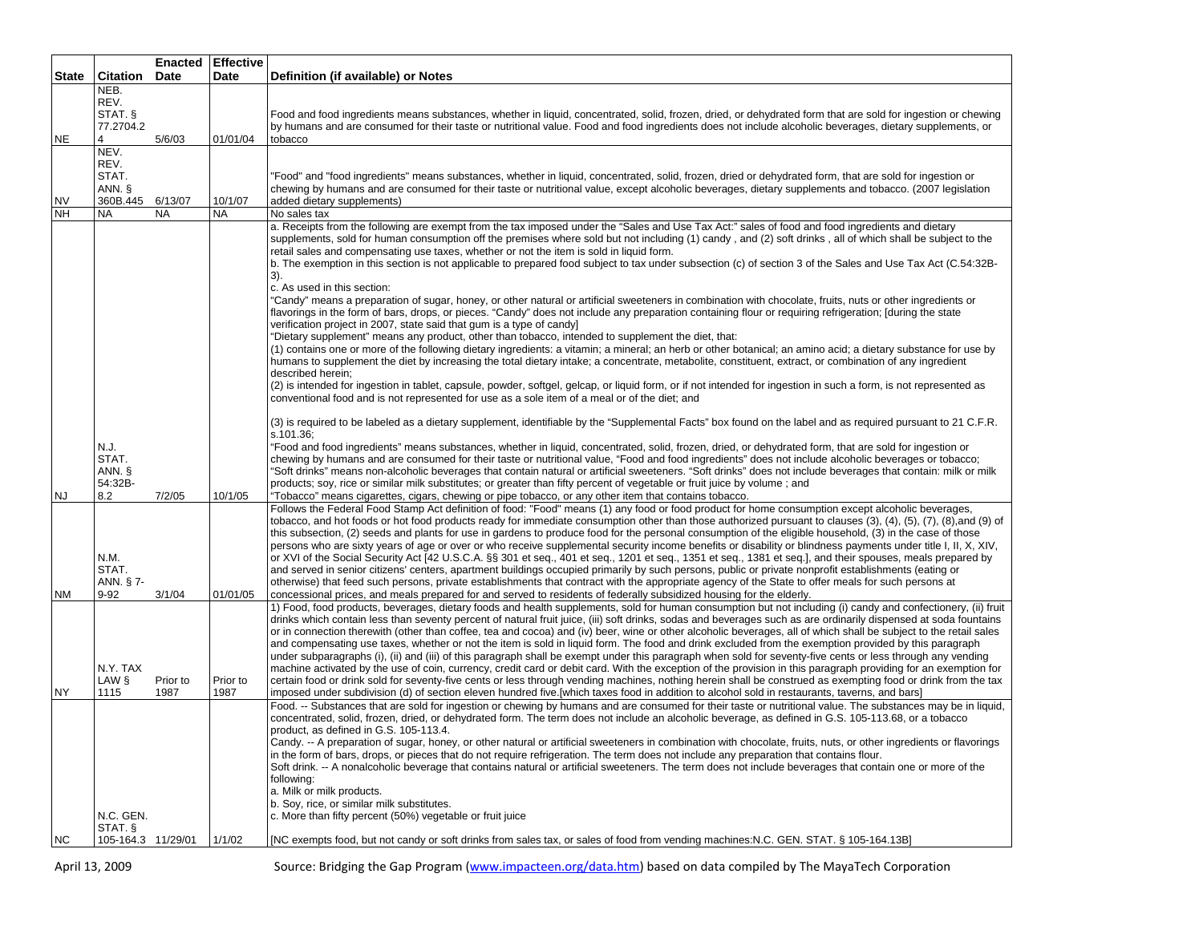|              |                                           |             | <b>Enacted Effective</b> |                                                                                                                                                                                                                                                                                                                                                                                                                                                                                                                                                                                                                                                                                                                                                                                                                                                                                                                                                                                                                                                                                                                                                                                                                                                           |
|--------------|-------------------------------------------|-------------|--------------------------|-----------------------------------------------------------------------------------------------------------------------------------------------------------------------------------------------------------------------------------------------------------------------------------------------------------------------------------------------------------------------------------------------------------------------------------------------------------------------------------------------------------------------------------------------------------------------------------------------------------------------------------------------------------------------------------------------------------------------------------------------------------------------------------------------------------------------------------------------------------------------------------------------------------------------------------------------------------------------------------------------------------------------------------------------------------------------------------------------------------------------------------------------------------------------------------------------------------------------------------------------------------|
| <b>State</b> | Citation                                  | <b>Date</b> | Date                     | Definition (if available) or Notes                                                                                                                                                                                                                                                                                                                                                                                                                                                                                                                                                                                                                                                                                                                                                                                                                                                                                                                                                                                                                                                                                                                                                                                                                        |
|              | NEB.                                      |             |                          |                                                                                                                                                                                                                                                                                                                                                                                                                                                                                                                                                                                                                                                                                                                                                                                                                                                                                                                                                                                                                                                                                                                                                                                                                                                           |
|              | REV.                                      |             |                          |                                                                                                                                                                                                                                                                                                                                                                                                                                                                                                                                                                                                                                                                                                                                                                                                                                                                                                                                                                                                                                                                                                                                                                                                                                                           |
|              | STAT. §                                   |             |                          | Food and food ingredients means substances, whether in liquid, concentrated, solid, frozen, dried, or dehydrated form that are sold for ingestion or chewing                                                                                                                                                                                                                                                                                                                                                                                                                                                                                                                                                                                                                                                                                                                                                                                                                                                                                                                                                                                                                                                                                              |
| <b>NE</b>    | 77.2704.2<br>4                            | 5/6/03      | 01/01/04                 | by humans and are consumed for their taste or nutritional value. Food and food ingredients does not include alcoholic beverages, dietary supplements, or<br>tobacco                                                                                                                                                                                                                                                                                                                                                                                                                                                                                                                                                                                                                                                                                                                                                                                                                                                                                                                                                                                                                                                                                       |
|              | NEV.                                      |             |                          |                                                                                                                                                                                                                                                                                                                                                                                                                                                                                                                                                                                                                                                                                                                                                                                                                                                                                                                                                                                                                                                                                                                                                                                                                                                           |
|              | REV.                                      |             |                          |                                                                                                                                                                                                                                                                                                                                                                                                                                                                                                                                                                                                                                                                                                                                                                                                                                                                                                                                                                                                                                                                                                                                                                                                                                                           |
|              | STAT.                                     |             |                          | "Food" and "food ingredients" means substances, whether in liquid, concentrated, solid, frozen, dried or dehydrated form, that are sold for ingestion or                                                                                                                                                                                                                                                                                                                                                                                                                                                                                                                                                                                                                                                                                                                                                                                                                                                                                                                                                                                                                                                                                                  |
|              | ANN. §                                    |             |                          | chewing by humans and are consumed for their taste or nutritional value, except alcoholic beverages, dietary supplements and tobacco. (2007 legislation                                                                                                                                                                                                                                                                                                                                                                                                                                                                                                                                                                                                                                                                                                                                                                                                                                                                                                                                                                                                                                                                                                   |
| <b>NV</b>    | 360B.445 6/13/07                          |             | 10/1/07                  | added dietary supplements)                                                                                                                                                                                                                                                                                                                                                                                                                                                                                                                                                                                                                                                                                                                                                                                                                                                                                                                                                                                                                                                                                                                                                                                                                                |
| <b>NH</b>    | NA                                        | <b>NA</b>   | NA                       | No sales tax                                                                                                                                                                                                                                                                                                                                                                                                                                                                                                                                                                                                                                                                                                                                                                                                                                                                                                                                                                                                                                                                                                                                                                                                                                              |
|              |                                           |             |                          | a. Receipts from the following are exempt from the tax imposed under the "Sales and Use Tax Act:" sales of food and food ingredients and dietary<br>supplements, sold for human consumption off the premises where sold but not including (1) candy, and (2) soft drinks, all of which shall be subject to the<br>retail sales and compensating use taxes, whether or not the item is sold in liquid form.<br>b. The exemption in this section is not applicable to prepared food subject to tax under subsection (c) of section 3 of the Sales and Use Tax Act (C.54:32B-<br>3).<br>c. As used in this section:<br>"Candy" means a preparation of sugar, honey, or other natural or artificial sweeteners in combination with chocolate, fruits, nuts or other ingredients or                                                                                                                                                                                                                                                                                                                                                                                                                                                                            |
|              |                                           |             |                          | flavorings in the form of bars, drops, or pieces. "Candy" does not include any preparation containing flour or requiring refrigeration; [during the state<br>verification project in 2007, state said that gum is a type of candy]<br>"Dietary supplement" means any product, other than tobacco, intended to supplement the diet, that:<br>(1) contains one or more of the following dietary ingredients: a vitamin; a mineral; an herb or other botanical; an amino acid; a dietary substance for use by<br>humans to supplement the diet by increasing the total dietary intake; a concentrate, metabolite, constituent, extract, or combination of any ingredient<br>described herein;                                                                                                                                                                                                                                                                                                                                                                                                                                                                                                                                                                |
|              |                                           |             |                          | (2) is intended for ingestion in tablet, capsule, powder, softgel, gelcap, or liquid form, or if not intended for ingestion in such a form, is not represented as<br>conventional food and is not represented for use as a sole item of a meal or of the diet; and                                                                                                                                                                                                                                                                                                                                                                                                                                                                                                                                                                                                                                                                                                                                                                                                                                                                                                                                                                                        |
|              |                                           |             |                          | (3) is required to be labeled as a dietary supplement, identifiable by the "Supplemental Facts" box found on the label and as required pursuant to 21 C.F.R.<br>s.101.36;                                                                                                                                                                                                                                                                                                                                                                                                                                                                                                                                                                                                                                                                                                                                                                                                                                                                                                                                                                                                                                                                                 |
| NJ           | N.J.<br>STAT.<br>ANN. §<br>54:32B-<br>8.2 | 7/2/05      | 10/1/05                  | "Food and food ingredients" means substances, whether in liquid, concentrated, solid, frozen, dried, or dehydrated form, that are sold for ingestion or<br>chewing by humans and are consumed for their taste or nutritional value, "Food and food ingredients" does not include alcoholic beverages or tobacco;<br>"Soft drinks" means non-alcoholic beverages that contain natural or artificial sweeteners. "Soft drinks" does not include beverages that contain: milk or milk<br>products; soy, rice or similar milk substitutes; or greater than fifty percent of vegetable or fruit juice by volume; and<br>"Tobacco" means cigarettes, cigars, chewing or pipe tobacco, or any other item that contains tobacco.                                                                                                                                                                                                                                                                                                                                                                                                                                                                                                                                  |
| NM           | N.M.<br>STAT.<br>ANN. § 7-<br>$9 - 92$    | 3/1/04      | 01/01/05                 | Follows the Federal Food Stamp Act definition of food: "Food" means (1) any food or food product for home consumption except alcoholic beverages,<br>tobacco, and hot foods or hot food products ready for immediate consumption other than those authorized pursuant to clauses (3), (4), (5), (7), (8),and (9) of<br>this subsection, (2) seeds and plants for use in gardens to produce food for the personal consumption of the eligible household, (3) in the case of those<br>persons who are sixty years of age or over or who receive supplemental security income benefits or disability or blindness payments under title I, II, X, XIV,<br>or XVI of the Social Security Act [42 U.S.C.A. §§ 301 et seq., 401 et seq., 1201 et seq., 1351 et seq., 1381 et seq.], and their spouses, meals prepared by<br>and served in senior citizens' centers, apartment buildings occupied primarily by such persons, public or private nonprofit establishments (eating or<br>otherwise) that feed such persons, private establishments that contract with the appropriate agency of the State to offer meals for such persons at<br>concessional prices, and meals prepared for and served to residents of federally subsidized housing for the elderly. |
|              | N.Y. TAX<br>LAW §                         | Prior to    | Prior to                 | 1) Food, food products, beverages, dietary foods and health supplements, sold for human consumption but not including (i) candy and confectionery, (ii) fruit<br>drinks which contain less than seventy percent of natural fruit juice, (iii) soft drinks, sodas and beverages such as are ordinarily dispensed at soda fountains<br>or in connection therewith (other than coffee, tea and cocoa) and (iv) beer, wine or other alcoholic beverages, all of which shall be subject to the retail sales<br>and compensating use taxes, whether or not the item is sold in liquid form. The food and drink excluded from the exemption provided by this paragraph<br>under subparagraphs (i), (ii) and (iii) of this paragraph shall be exempt under this paragraph when sold for seventy-five cents or less through any vending<br>machine activated by the use of coin, currency, credit card or debit card. With the exception of the provision in this paragraph providing for an exemption for<br>certain food or drink sold for seventy-five cents or less through vending machines, nothing herein shall be construed as exempting food or drink from the tax                                                                                        |
| NY           | 1115<br>N.C. GEN.<br>STAT. §              | 1987        | 1987                     | imposed under subdivision (d) of section eleven hundred five.[which taxes food in addition to alcohol sold in restaurants, taverns, and bars]<br>Food. -- Substances that are sold for ingestion or chewing by humans and are consumed for their taste or nutritional value. The substances may be in liquid,<br>concentrated, solid, frozen, dried, or dehydrated form. The term does not include an alcoholic beverage, as defined in G.S. 105-113.68, or a tobacco<br>product, as defined in G.S. 105-113.4.<br>Candy. -- A preparation of sugar, honey, or other natural or artificial sweeteners in combination with chocolate, fruits, nuts, or other ingredients or flavorings<br>in the form of bars, drops, or pieces that do not require refrigeration. The term does not include any preparation that contains flour.<br>Soft drink. -- A nonalcoholic beverage that contains natural or artificial sweeteners. The term does not include beverages that contain one or more of the<br>following:<br>a. Milk or milk products.<br>b. Soy, rice, or similar milk substitutes.<br>c. More than fifty percent (50%) vegetable or fruit juice                                                                                                      |
| <b>NC</b>    | 105-164.3 11/29/01                        |             | 1/1/02                   | [NC exempts food, but not candy or soft drinks from sales tax, or sales of food from vending machines: N.C. GEN. STAT. § 105-164.13B]                                                                                                                                                                                                                                                                                                                                                                                                                                                                                                                                                                                                                                                                                                                                                                                                                                                                                                                                                                                                                                                                                                                     |

April 13, 2009 Source: Bridging the Gap Program (www.impacteen.org/data.htm) based on data compiled by The MayaTech Corporation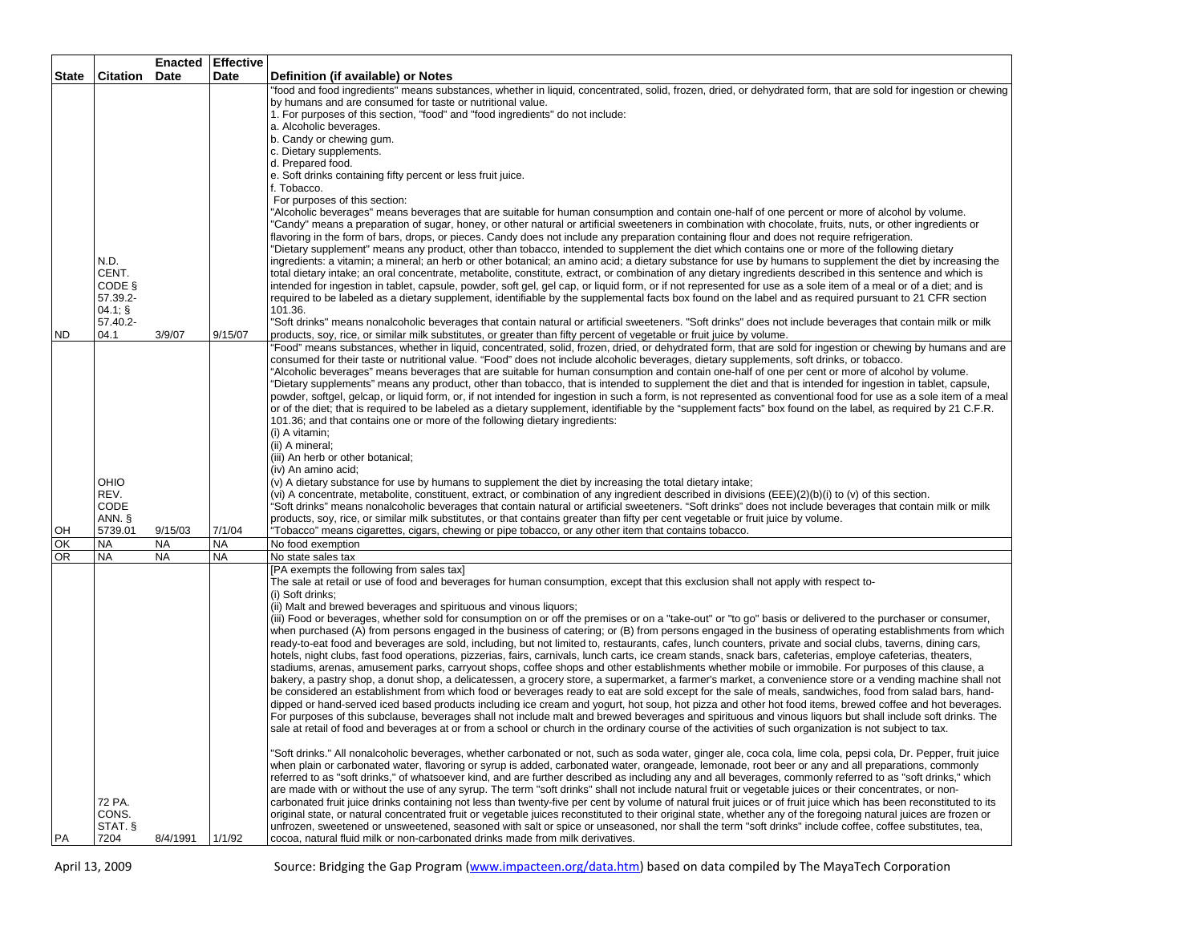|              |                      | Enacted   | <b>Effective</b> |                                                                                                                                                                     |
|--------------|----------------------|-----------|------------------|---------------------------------------------------------------------------------------------------------------------------------------------------------------------|
| <b>State</b> | <b>Citation Date</b> |           | Date             | Definition (if available) or Notes                                                                                                                                  |
|              |                      |           |                  | "food and food ingredients" means substances, whether in liquid, concentrated, solid, frozen, dried, or dehydrated form, that are sold for ingestion or chewing     |
|              |                      |           |                  | by humans and are consumed for taste or nutritional value.                                                                                                          |
|              |                      |           |                  | 1. For purposes of this section, "food" and "food ingredients" do not include:                                                                                      |
|              |                      |           |                  | a. Alcoholic beverages.                                                                                                                                             |
|              |                      |           |                  | b. Candy or chewing gum.                                                                                                                                            |
|              |                      |           |                  | c. Dietary supplements.                                                                                                                                             |
|              |                      |           |                  | d. Prepared food.                                                                                                                                                   |
|              |                      |           |                  | e. Soft drinks containing fifty percent or less fruit juice.                                                                                                        |
|              |                      |           |                  | f. Tobacco.                                                                                                                                                         |
|              |                      |           |                  | For purposes of this section:                                                                                                                                       |
|              |                      |           |                  | "Alcoholic beverages" means beverages that are suitable for human consumption and contain one-half of one percent or more of alcohol by volume.                     |
|              |                      |           |                  | "Candy" means a preparation of sugar, honey, or other natural or artificial sweeteners in combination with chocolate, fruits, nuts, or other ingredients or         |
|              |                      |           |                  | flavoring in the form of bars, drops, or pieces. Candy does not include any preparation containing flour and does not require refrigeration.                        |
|              |                      |           |                  | "Dietary supplement" means any product, other than tobacco, intended to supplement the diet which contains one or more of the following dietary                     |
|              | N.D.                 |           |                  | ingredients: a vitamin; a mineral; an herb or other botanical; an amino acid; a dietary substance for use by humans to supplement the diet by increasing the        |
|              | CENT.                |           |                  | total dietary intake; an oral concentrate, metabolite, constitute, extract, or combination of any dietary ingredients described in this sentence and which is       |
|              | CODE §               |           |                  | intended for ingestion in tablet, capsule, powder, soft gel, gel cap, or liquid form, or if not represented for use as a sole item of a meal or of a diet; and is   |
|              | 57.39.2-             |           |                  | required to be labeled as a dietary supplement, identifiable by the supplemental facts box found on the label and as required pursuant to 21 CFR section            |
|              | $04.1;$ §            |           |                  | 101.36.                                                                                                                                                             |
|              | 57.40.2-             |           |                  | 'Soft drinks" means nonalcoholic beverages that contain natural or artificial sweeteners. "Soft drinks" does not include beverages that contain milk or milk        |
| <b>ND</b>    | 04.1                 | 3/9/07    | 9/15/07          | products, soy, rice, or similar milk substitutes, or greater than fifty percent of vegetable or fruit juice by volume.                                              |
|              |                      |           |                  | "Food" means substances, whether in liquid, concentrated, solid, frozen, dried, or dehydrated form, that are sold for ingestion or chewing by humans and are        |
|              |                      |           |                  | consumed for their taste or nutritional value. "Food" does not include alcoholic beverages, dietary supplements, soft drinks, or tobacco.                           |
|              |                      |           |                  | "Alcoholic beverages" means beverages that are suitable for human consumption and contain one-half of one per cent or more of alcohol by volume.                    |
|              |                      |           |                  | "Dietary supplements" means any product, other than tobacco, that is intended to supplement the diet and that is intended for ingestion in tablet, capsule,         |
|              |                      |           |                  | powder, softgel, gelcap, or liquid form, or, if not intended for ingestion in such a form, is not represented as conventional food for use as a sole item of a meal |
|              |                      |           |                  | or of the diet; that is required to be labeled as a dietary supplement, identifiable by the "supplement facts" box found on the label, as required by 21 C.F.R.     |
|              |                      |           |                  | 101.36; and that contains one or more of the following dietary ingredients:<br>(i) A vitamin;                                                                       |
|              |                      |           |                  | (ii) A mineral;                                                                                                                                                     |
|              |                      |           |                  | (iii) An herb or other botanical;                                                                                                                                   |
|              |                      |           |                  | (iv) An amino acid:                                                                                                                                                 |
|              | OHIO                 |           |                  | (v) A dietary substance for use by humans to supplement the diet by increasing the total dietary intake;                                                            |
|              | REV.                 |           |                  | (vi) A concentrate, metabolite, constituent, extract, or combination of any ingredient described in divisions (EEE)(2)(b)(i) to (v) of this section.                |
|              | CODE                 |           |                  | "Soft drinks" means nonalcoholic beverages that contain natural or artificial sweeteners. "Soft drinks" does not include beverages that contain milk or milk        |
|              | ANN. §               |           |                  | products, soy, rice, or similar milk substitutes, or that contains greater than fifty per cent vegetable or fruit juice by volume.                                  |
| OH           | 5739.01              | 9/15/03   | 7/1/04           | "Tobacco" means cigarettes, cigars, chewing or pipe tobacco, or any other item that contains tobacco.                                                               |
| OK           | <b>NA</b>            | <b>NA</b> | <b>NA</b>        | No food exemption                                                                                                                                                   |
| <b>OR</b>    | <b>NA</b>            | <b>NA</b> | <b>NA</b>        | No state sales tax                                                                                                                                                  |
|              |                      |           |                  | [PA exempts the following from sales tax]                                                                                                                           |
|              |                      |           |                  | The sale at retail or use of food and beverages for human consumption, except that this exclusion shall not apply with respect to-                                  |
|              |                      |           |                  | (i) Soft drinks:                                                                                                                                                    |
|              |                      |           |                  | (ii) Malt and brewed beverages and spirituous and vinous liquors;                                                                                                   |
|              |                      |           |                  | (iii) Food or beverages, whether sold for consumption on or off the premises or on a "take-out" or "to go" basis or delivered to the purchaser or consumer,         |
|              |                      |           |                  | when purchased (A) from persons engaged in the business of catering; or (B) from persons engaged in the business of operating establishments from which             |
|              |                      |           |                  | ready-to-eat food and beverages are sold, including, but not limited to, restaurants, cafes, lunch counters, private and social clubs, taverns, dining cars,        |
|              |                      |           |                  | hotels, night clubs, fast food operations, pizzerias, fairs, carnivals, lunch carts, ice cream stands, snack bars, cafeterias, employe cafeterias, theaters,        |
|              |                      |           |                  | stadiums, arenas, amusement parks, carryout shops, coffee shops and other establishments whether mobile or immobile. For purposes of this clause, a                 |
|              |                      |           |                  | bakery, a pastry shop, a donut shop, a delicatessen, a grocery store, a supermarket, a farmer's market, a convenience store or a vending machine shall not          |
|              |                      |           |                  | be considered an establishment from which food or beverages ready to eat are sold except for the sale of meals, sandwiches, food from salad bars, hand-             |
|              |                      |           |                  | dipped or hand-served iced based products including ice cream and yogurt, hot soup, hot pizza and other hot food items, brewed coffee and hot beverages.            |
|              |                      |           |                  | For purposes of this subclause, beverages shall not include malt and brewed beverages and spirituous and vinous liquors but shall include soft drinks. The          |
|              |                      |           |                  | sale at retail of food and beverages at or from a school or church in the ordinary course of the activities of such organization is not subject to tax.             |
|              |                      |           |                  |                                                                                                                                                                     |
|              |                      |           |                  | "Soft drinks." All nonalcoholic beverages, whether carbonated or not, such as soda water, ginger ale, coca cola, lime cola, pepsi cola, Dr. Pepper, fruit juice     |
|              |                      |           |                  | when plain or carbonated water, flavoring or syrup is added, carbonated water, orangeade, lemonade, root beer or any and all preparations, commonly                 |
|              |                      |           |                  | referred to as "soft drinks," of whatsoever kind, and are further described as including any and all beverages, commonly referred to as "soft drinks," which        |
|              |                      |           |                  | are made with or without the use of any syrup. The term "soft drinks" shall not include natural fruit or vegetable juices or their concentrates, or non-            |
|              | 72 PA.               |           |                  | carbonated fruit juice drinks containing not less than twenty-five per cent by volume of natural fruit juices or of fruit juice which has been reconstituted to its |
|              | CONS.                |           |                  | original state, or natural concentrated fruit or vegetable juices reconstituted to their original state, whether any of the foregoing natural juices are frozen or  |
|              | STAT. §              |           |                  | unfrozen, sweetened or unsweetened, seasoned with salt or spice or unseasoned, nor shall the term "soft drinks" include coffee, coffee substitutes, tea,            |
| PA           | 7204                 | 8/4/1991  | 1/1/92           | cocoa, natural fluid milk or non-carbonated drinks made from milk derivatives.                                                                                      |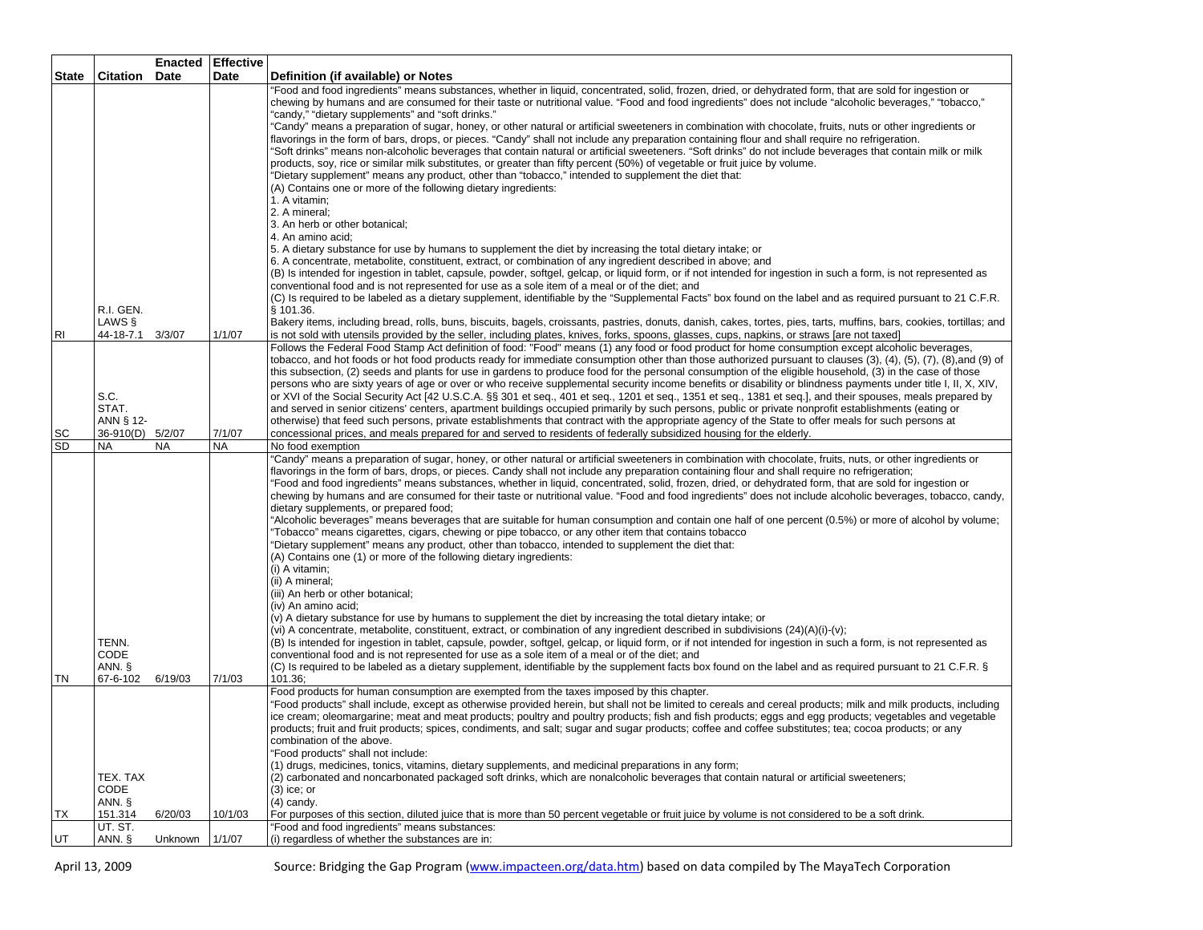|                |                                                | <b>Enacted</b> | <b>Effective</b> |                                                                                                                                                                                                                                                                                                                                                                                                                                                                                                                                                                                                                                                                                                                                                                                                                                                                                                                                                                                                                                                                                                                                                                                                                                                                                                                                                                                                                                                                                                                                                                                                                                                                                                                                                                                                                                                                                                                                            |
|----------------|------------------------------------------------|----------------|------------------|--------------------------------------------------------------------------------------------------------------------------------------------------------------------------------------------------------------------------------------------------------------------------------------------------------------------------------------------------------------------------------------------------------------------------------------------------------------------------------------------------------------------------------------------------------------------------------------------------------------------------------------------------------------------------------------------------------------------------------------------------------------------------------------------------------------------------------------------------------------------------------------------------------------------------------------------------------------------------------------------------------------------------------------------------------------------------------------------------------------------------------------------------------------------------------------------------------------------------------------------------------------------------------------------------------------------------------------------------------------------------------------------------------------------------------------------------------------------------------------------------------------------------------------------------------------------------------------------------------------------------------------------------------------------------------------------------------------------------------------------------------------------------------------------------------------------------------------------------------------------------------------------------------------------------------------------|
| State          | <b>Citation</b>                                | Date           | Date             | Definition (if available) or Notes                                                                                                                                                                                                                                                                                                                                                                                                                                                                                                                                                                                                                                                                                                                                                                                                                                                                                                                                                                                                                                                                                                                                                                                                                                                                                                                                                                                                                                                                                                                                                                                                                                                                                                                                                                                                                                                                                                         |
|                | R.I. GEN.                                      |                |                  | "Food and food ingredients" means substances, whether in liquid, concentrated, solid, frozen, dried, or dehydrated form, that are sold for ingestion or<br>chewing by humans and are consumed for their taste or nutritional value. "Food and food ingredients" does not include "alcoholic beverages," "tobacco,"<br>"candy," "dietary supplements" and "soft drinks."<br>"Candy" means a preparation of sugar, honey, or other natural or artificial sweeteners in combination with chocolate, fruits, nuts or other ingredients or<br>flavorings in the form of bars, drops, or pieces. "Candy" shall not include any preparation containing flour and shall require no refrigeration.<br>"Soft drinks" means non-alcoholic beverages that contain natural or artificial sweeteners. "Soft drinks" do not include beverages that contain milk or milk<br>products, soy, rice or similar milk substitutes, or greater than fifty percent (50%) of vegetable or fruit juice by volume.<br>"Dietary supplement" means any product, other than "tobacco," intended to supplement the diet that:<br>(A) Contains one or more of the following dietary ingredients:<br>1. A vitamin:<br>2. A mineral:<br>3. An herb or other botanical;<br>4. An amino acid:<br>5. A dietary substance for use by humans to supplement the diet by increasing the total dietary intake; or<br>6. A concentrate, metabolite, constituent, extract, or combination of any ingredient described in above; and<br>(B) Is intended for ingestion in tablet, capsule, powder, softgel, gelcap, or liquid form, or if not intended for ingestion in such a form, is not represented as<br>conventional food and is not represented for use as a sole item of a meal or of the diet; and<br>(C) Is required to be labeled as a dietary supplement, identifiable by the "Supplemental Facts" box found on the label and as required pursuant to 21 C.F.R.<br>§ 101.36. |
| R <sub>1</sub> | LAWS §<br>44-18-7.1                            | 3/3/07         | 1/1/07           | Bakery items, including bread, rolls, buns, biscuits, bagels, croissants, pastries, donuts, danish, cakes, tortes, pies, tarts, muffins, bars, cookies, tortillas; and<br>is not sold with utensils provided by the seller, including plates, knives, forks, spoons, glasses, cups, napkins, or straws [are not taxed]                                                                                                                                                                                                                                                                                                                                                                                                                                                                                                                                                                                                                                                                                                                                                                                                                                                                                                                                                                                                                                                                                                                                                                                                                                                                                                                                                                                                                                                                                                                                                                                                                     |
| SC             | S.C.<br>STAT.<br>ANN § 12-<br>36-910(D) 5/2/07 |                | 7/1/07           | Follows the Federal Food Stamp Act definition of food: "Food" means (1) any food or food product for home consumption except alcoholic beverages,<br>tobacco, and hot foods or hot food products ready for immediate consumption other than those authorized pursuant to clauses (3), (4), (5), (7), (8),and (9) of<br>this subsection, (2) seeds and plants for use in gardens to produce food for the personal consumption of the eligible household, (3) in the case of those<br>persons who are sixty years of age or over or who receive supplemental security income benefits or disability or blindness payments under title I, II, X, XIV,<br>or XVI of the Social Security Act [42 U.S.C.A. §§ 301 et seq., 401 et seq., 1201 et seq., 1351 et seq., 1381 et seq.], and their spouses, meals prepared by<br>and served in senior citizens' centers, apartment buildings occupied primarily by such persons, public or private nonprofit establishments (eating or<br>otherwise) that feed such persons, private establishments that contract with the appropriate agency of the State to offer meals for such persons at<br>concessional prices, and meals prepared for and served to residents of federally subsidized housing for the elderly.                                                                                                                                                                                                                                                                                                                                                                                                                                                                                                                                                                                                                                                                                  |
| <b>SD</b>      | <b>NA</b>                                      | <b>NA</b>      | <b>NA</b>        | No food exemption                                                                                                                                                                                                                                                                                                                                                                                                                                                                                                                                                                                                                                                                                                                                                                                                                                                                                                                                                                                                                                                                                                                                                                                                                                                                                                                                                                                                                                                                                                                                                                                                                                                                                                                                                                                                                                                                                                                          |
|                | TENN.<br>CODE<br>ANN. §                        |                |                  | "Candy" means a preparation of sugar, honey, or other natural or artificial sweeteners in combination with chocolate, fruits, nuts, or other ingredients or<br>flavorings in the form of bars, drops, or pieces. Candy shall not include any preparation containing flour and shall require no refrigeration;<br>"Food and food ingredients" means substances, whether in liquid, concentrated, solid, frozen, dried, or dehydrated form, that are sold for ingestion or<br>chewing by humans and are consumed for their taste or nutritional value. "Food and food ingredients" does not include alcoholic beverages, tobacco, candy,<br>dietary supplements, or prepared food;<br>"Alcoholic beverages" means beverages that are suitable for human consumption and contain one half of one percent (0.5%) or more of alcohol by volume;<br>Tobacco" means cigarettes, cigars, chewing or pipe tobacco, or any other item that contains tobacco<br>"Dietary supplement" means any product, other than tobacco, intended to supplement the diet that:<br>(A) Contains one (1) or more of the following dietary ingredients:<br>(i) A vitamin;<br>(ii) A mineral;<br>(iii) An herb or other botanical;<br>(iv) An amino acid;<br>(v) A dietary substance for use by humans to supplement the diet by increasing the total dietary intake; or<br>(vi) A concentrate, metabolite, constituent, extract, or combination of any ingredient described in subdivisions (24)(A)(i)-(v);<br>(B) Is intended for ingestion in tablet, capsule, powder, softgel, gelcap, or liquid form, or if not intended for ingestion in such a form, is not represented as<br>conventional food and is not represented for use as a sole item of a meal or of the diet; and<br>(C) Is required to be labeled as a dietary supplement, identifiable by the supplement facts box found on the label and as required pursuant to 21 C.F.R. §                       |
| <b>TN</b>      | 67-6-102                                       | 6/19/03        | 7/1/03           | 101.36:                                                                                                                                                                                                                                                                                                                                                                                                                                                                                                                                                                                                                                                                                                                                                                                                                                                                                                                                                                                                                                                                                                                                                                                                                                                                                                                                                                                                                                                                                                                                                                                                                                                                                                                                                                                                                                                                                                                                    |
|                | TEX. TAX<br>CODE<br>ANN. §                     |                |                  | Food products for human consumption are exempted from the taxes imposed by this chapter.<br>"Food products" shall include, except as otherwise provided herein, but shall not be limited to cereals and cereal products; milk and milk products, including<br>ice cream; oleomargarine; meat and meat products; poultry and poultry products; fish and fish products; eggs and egg products; vegetables and vegetable<br>products; fruit and fruit products; spices, condiments, and salt; sugar and sugar products; coffee and coffee substitutes; tea; cocoa products; or any<br>combination of the above.<br>"Food products" shall not include:<br>(1) drugs, medicines, tonics, vitamins, dietary supplements, and medicinal preparations in any form;<br>(2) carbonated and noncarbonated packaged soft drinks, which are nonalcoholic beverages that contain natural or artificial sweeteners;<br>$(3)$ ice; or<br>$(4)$ candy.                                                                                                                                                                                                                                                                                                                                                                                                                                                                                                                                                                                                                                                                                                                                                                                                                                                                                                                                                                                                      |
| ТX             | 151.314                                        | 6/20/03        | 10/1/03          | For purposes of this section, diluted juice that is more than 50 percent vegetable or fruit juice by volume is not considered to be a soft drink.                                                                                                                                                                                                                                                                                                                                                                                                                                                                                                                                                                                                                                                                                                                                                                                                                                                                                                                                                                                                                                                                                                                                                                                                                                                                                                                                                                                                                                                                                                                                                                                                                                                                                                                                                                                          |
| UT             | UT. ST.<br>ANN. §                              | Unknown        | 1/1/07           | "Food and food ingredients" means substances:<br>(i) regardless of whether the substances are in:                                                                                                                                                                                                                                                                                                                                                                                                                                                                                                                                                                                                                                                                                                                                                                                                                                                                                                                                                                                                                                                                                                                                                                                                                                                                                                                                                                                                                                                                                                                                                                                                                                                                                                                                                                                                                                          |

April 13, 2009 Source: Bridging the Gap Program (www.impacteen.org/data.htm) based on data compiled by The MayaTech Corporation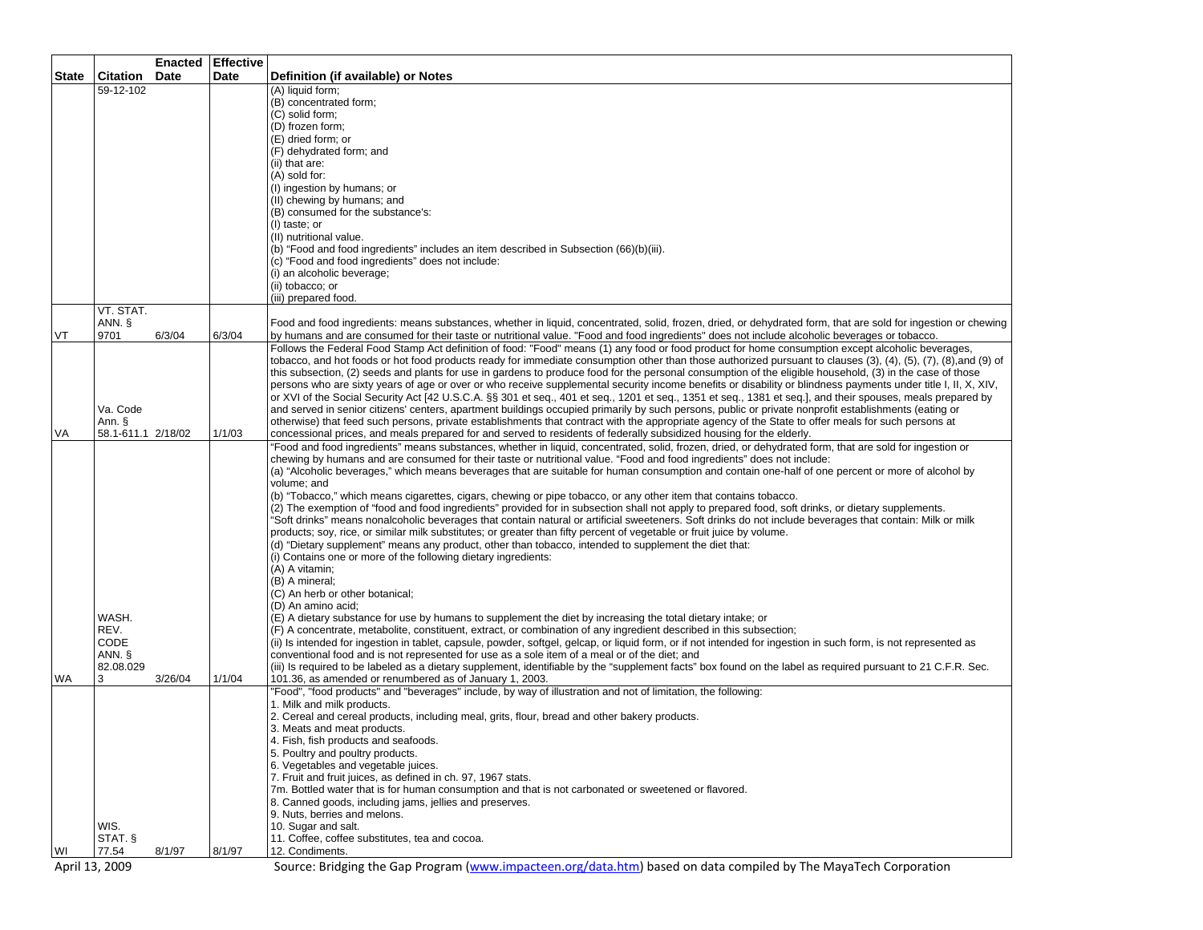|                |                    |             | Enacted Effective |                                                                                                                                                                                                                                                                                                                 |
|----------------|--------------------|-------------|-------------------|-----------------------------------------------------------------------------------------------------------------------------------------------------------------------------------------------------------------------------------------------------------------------------------------------------------------|
| <b>State</b>   | Citation           | <b>Date</b> | Date              | Definition (if available) or Notes                                                                                                                                                                                                                                                                              |
|                | 59-12-102          |             |                   | (A) liquid form;                                                                                                                                                                                                                                                                                                |
|                |                    |             |                   | (B) concentrated form;<br>(C) solid form;                                                                                                                                                                                                                                                                       |
|                |                    |             |                   | (D) frozen form;                                                                                                                                                                                                                                                                                                |
|                |                    |             |                   | (E) dried form; or                                                                                                                                                                                                                                                                                              |
|                |                    |             |                   | (F) dehydrated form; and                                                                                                                                                                                                                                                                                        |
|                |                    |             |                   | (ii) that are:                                                                                                                                                                                                                                                                                                  |
|                |                    |             |                   | (A) sold for:                                                                                                                                                                                                                                                                                                   |
|                |                    |             |                   | (I) ingestion by humans; or                                                                                                                                                                                                                                                                                     |
|                |                    |             |                   | (II) chewing by humans; and                                                                                                                                                                                                                                                                                     |
|                |                    |             |                   | (B) consumed for the substance's:                                                                                                                                                                                                                                                                               |
|                |                    |             |                   | (I) taste; or<br>(II) nutritional value.                                                                                                                                                                                                                                                                        |
|                |                    |             |                   | (b) "Food and food ingredients" includes an item described in Subsection (66)(b)(iii).                                                                                                                                                                                                                          |
|                |                    |             |                   | (c) "Food and food ingredients" does not include:                                                                                                                                                                                                                                                               |
|                |                    |             |                   | (i) an alcoholic beverage;                                                                                                                                                                                                                                                                                      |
|                |                    |             |                   | (ii) tobacco; or                                                                                                                                                                                                                                                                                                |
|                |                    |             |                   | (iii) prepared food.                                                                                                                                                                                                                                                                                            |
|                | VT. STAT.          |             |                   |                                                                                                                                                                                                                                                                                                                 |
| VT             | ANN. §<br>9701     | 6/3/04      | 6/3/04            | Food and food ingredients: means substances, whether in liquid, concentrated, solid, frozen, dried, or dehydrated form, that are sold for ingestion or chewing<br>by humans and are consumed for their taste or nutritional value. "Food and food ingredients" does not include alcoholic beverages or tobacco. |
|                |                    |             |                   | Follows the Federal Food Stamp Act definition of food: "Food" means (1) any food or food product for home consumption except alcoholic beverages,                                                                                                                                                               |
|                |                    |             |                   | tobacco, and hot foods or hot food products ready for immediate consumption other than those authorized pursuant to clauses (3), (4), (5), (7), (8), and (9) of                                                                                                                                                 |
|                |                    |             |                   | this subsection, (2) seeds and plants for use in gardens to produce food for the personal consumption of the eligible household, (3) in the case of those                                                                                                                                                       |
|                |                    |             |                   | persons who are sixty years of age or over or who receive supplemental security income benefits or disability or blindness payments under title I, II, X, XIV,                                                                                                                                                  |
|                |                    |             |                   | or XVI of the Social Security Act [42 U.S.C.A. §§ 301 et seq., 401 et seq., 1201 et seq., 1351 et seq., 1381 et seq.], and their spouses, meals prepared by                                                                                                                                                     |
|                | Va. Code<br>Ann. § |             |                   | and served in senior citizens' centers, apartment buildings occupied primarily by such persons, public or private nonprofit establishments (eating or<br>otherwise) that feed such persons, private establishments that contract with the appropriate agency of the State to offer meals for such persons at    |
| VA             | 58.1-611.1 2/18/02 |             | 1/1/03            | concessional prices, and meals prepared for and served to residents of federally subsidized housing for the elderly.                                                                                                                                                                                            |
|                |                    |             |                   | "Food and food ingredients" means substances, whether in liquid, concentrated, solid, frozen, dried, or dehydrated form, that are sold for ingestion or                                                                                                                                                         |
|                |                    |             |                   | chewing by humans and are consumed for their taste or nutritional value. "Food and food ingredients" does not include:                                                                                                                                                                                          |
|                |                    |             |                   | (a) "Alcoholic beverages," which means beverages that are suitable for human consumption and contain one-half of one percent or more of alcohol by                                                                                                                                                              |
|                |                    |             |                   | volume: and                                                                                                                                                                                                                                                                                                     |
|                |                    |             |                   | (b) "Tobacco," which means cigarettes, cigars, chewing or pipe tobacco, or any other item that contains tobacco.<br>(2) The exemption of "food and food ingredients" provided for in subsection shall not apply to prepared food, soft drinks, or dietary supplements.                                          |
|                |                    |             |                   | 'Soft drinks" means nonalcoholic beverages that contain natural or artificial sweeteners. Soft drinks do not include beverages that contain: Milk or milk                                                                                                                                                       |
|                |                    |             |                   | products; soy, rice, or similar milk substitutes; or greater than fifty percent of vegetable or fruit juice by volume.                                                                                                                                                                                          |
|                |                    |             |                   | (d) "Dietary supplement" means any product, other than tobacco, intended to supplement the diet that:                                                                                                                                                                                                           |
|                |                    |             |                   | (i) Contains one or more of the following dietary ingredients:                                                                                                                                                                                                                                                  |
|                |                    |             |                   | (A) A vitamin;                                                                                                                                                                                                                                                                                                  |
|                |                    |             |                   | (B) A mineral;                                                                                                                                                                                                                                                                                                  |
|                |                    |             |                   | (C) An herb or other botanical;                                                                                                                                                                                                                                                                                 |
|                | WASH.              |             |                   | (D) An amino acid;<br>(E) A dietary substance for use by humans to supplement the diet by increasing the total dietary intake; or                                                                                                                                                                               |
|                | REV.               |             |                   | (F) A concentrate, metabolite, constituent, extract, or combination of any ingredient described in this subsection;                                                                                                                                                                                             |
|                | <b>CODE</b>        |             |                   | (ii) Is intended for ingestion in tablet, capsule, powder, softgel, gelcap, or liquid form, or if not intended for ingestion in such form, is not represented as                                                                                                                                                |
|                | ANN. §             |             |                   | conventional food and is not represented for use as a sole item of a meal or of the diet; and                                                                                                                                                                                                                   |
|                | 82.08.029          |             |                   | (iii) Is required to be labeled as a dietary supplement, identifiable by the "supplement facts" box found on the label as required pursuant to 21 C.F.R. Sec.                                                                                                                                                   |
| WA             | 3                  | 3/26/04     | 1/1/04            | 101.36, as amended or renumbered as of January 1, 2003.                                                                                                                                                                                                                                                         |
|                |                    |             |                   | "Food", "food products" and "beverages" include, by way of illustration and not of limitation, the following:<br>1. Milk and milk products.                                                                                                                                                                     |
|                |                    |             |                   | 2. Cereal and cereal products, including meal, grits, flour, bread and other bakery products.                                                                                                                                                                                                                   |
|                |                    |             |                   | 3. Meats and meat products.                                                                                                                                                                                                                                                                                     |
|                |                    |             |                   | 4. Fish, fish products and seafoods.                                                                                                                                                                                                                                                                            |
|                |                    |             |                   | 5. Poultry and poultry products.                                                                                                                                                                                                                                                                                |
|                |                    |             |                   | 6. Vegetables and vegetable juices.                                                                                                                                                                                                                                                                             |
|                |                    |             |                   | 7. Fruit and fruit juices, as defined in ch. 97, 1967 stats.                                                                                                                                                                                                                                                    |
|                |                    |             |                   | 7m. Bottled water that is for human consumption and that is not carbonated or sweetened or flavored.<br>8. Canned goods, including jams, jellies and preserves.                                                                                                                                                 |
|                |                    |             |                   | 9. Nuts, berries and melons.                                                                                                                                                                                                                                                                                    |
|                | WIS.               |             |                   | 10. Sugar and salt.                                                                                                                                                                                                                                                                                             |
|                | STAT. §            |             |                   | 11. Coffee, coffee substitutes, tea and cocoa.                                                                                                                                                                                                                                                                  |
| WI             | 77.54              | 8/1/97      | 8/1/97            | 12. Condiments.                                                                                                                                                                                                                                                                                                 |
| April 13, 2009 |                    |             |                   | Source: Bridging the Gap Program (www.impacteen.org/data.htm) based on data compiled by The MayaTech Corporation                                                                                                                                                                                                |